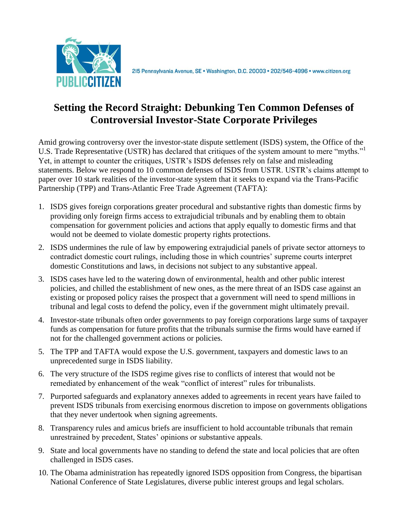

# **Setting the Record Straight: Debunking Ten Common Defenses of Controversial Investor-State Corporate Privileges**

Amid growing controversy over the investor-state dispute settlement (ISDS) system, the Office of the U.S. Trade Representative (USTR) has declared that critiques of the system amount to mere "myths." Yet, in attempt to counter the critiques, USTR's ISDS defenses rely on false and misleading statements. Below we respond to 10 common defenses of ISDS from USTR. USTR's claims attempt to paper over 10 stark realities of the investor-state system that it seeks to expand via the Trans-Pacific Partnership (TPP) and Trans-Atlantic Free Trade Agreement (TAFTA):

- 1. ISDS gives foreign corporations greater procedural and substantive rights than domestic firms by providing only foreign firms access to extrajudicial tribunals and by enabling them to obtain compensation for government policies and actions that apply equally to domestic firms and that would not be deemed to violate domestic property rights protections.
- 2. ISDS undermines the rule of law by empowering extrajudicial panels of private sector attorneys to contradict domestic court rulings, including those in which countries' supreme courts interpret domestic Constitutions and laws, in decisions not subject to any substantive appeal.
- 3. ISDS cases have led to the watering down of environmental, health and other public interest policies, and chilled the establishment of new ones, as the mere threat of an ISDS case against an existing or proposed policy raises the prospect that a government will need to spend millions in tribunal and legal costs to defend the policy, even if the government might ultimately prevail.
- 4. Investor-state tribunals often order governments to pay foreign corporations large sums of taxpayer funds as compensation for future profits that the tribunals surmise the firms would have earned if not for the challenged government actions or policies.
- 5. The TPP and TAFTA would expose the U.S. government, taxpayers and domestic laws to an unprecedented surge in ISDS liability.
- 6. The very structure of the ISDS regime gives rise to conflicts of interest that would not be remediated by enhancement of the weak "conflict of interest" rules for tribunalists.
- 7. Purported safeguards and explanatory annexes added to agreements in recent years have failed to prevent ISDS tribunals from exercising enormous discretion to impose on governments obligations that they never undertook when signing agreements.
- 8. Transparency rules and amicus briefs are insufficient to hold accountable tribunals that remain unrestrained by precedent, States' opinions or substantive appeals.
- 9. State and local governments have no standing to defend the state and local policies that are often challenged in ISDS cases.
- 10. The Obama administration has repeatedly ignored ISDS opposition from Congress, the bipartisan National Conference of State Legislatures, diverse public interest groups and legal scholars.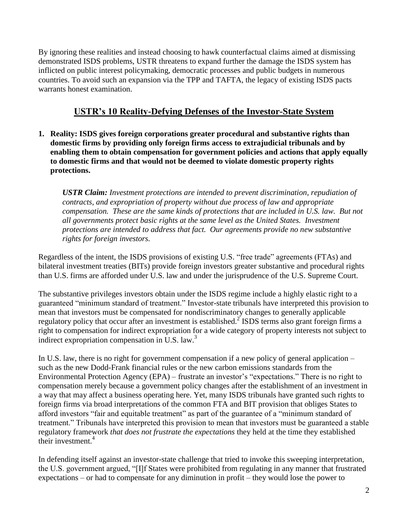By ignoring these realities and instead choosing to hawk counterfactual claims aimed at dismissing demonstrated ISDS problems, USTR threatens to expand further the damage the ISDS system has inflicted on public interest policymaking, democratic processes and public budgets in numerous countries. To avoid such an expansion via the TPP and TAFTA, the legacy of existing ISDS pacts warrants honest examination.

# **USTR's 10 Reality-Defying Defenses of the Investor-State System**

**1. Reality: ISDS gives foreign corporations greater procedural and substantive rights than domestic firms by providing only foreign firms access to extrajudicial tribunals and by enabling them to obtain compensation for government policies and actions that apply equally to domestic firms and that would not be deemed to violate domestic property rights protections.** 

*USTR Claim: Investment protections are intended to prevent discrimination, repudiation of contracts, and expropriation of property without due process of law and appropriate compensation. These are the same kinds of protections that are included in U.S. law. But not all governments protect basic rights at the same level as the United States. Investment protections are intended to address that fact. Our agreements provide no new substantive rights for foreign investors.* 

Regardless of the intent, the ISDS provisions of existing U.S. "free trade" agreements (FTAs) and bilateral investment treaties (BITs) provide foreign investors greater substantive and procedural rights than U.S. firms are afforded under U.S. law and under the jurisprudence of the U.S. Supreme Court.

The substantive privileges investors obtain under the ISDS regime include a highly elastic right to a guaranteed "minimum standard of treatment." Investor-state tribunals have interpreted this provision to mean that investors must be compensated for nondiscriminatory changes to generally applicable regulatory policy that occur after an investment is established.<sup>2</sup> ISDS terms also grant foreign firms a right to compensation for indirect expropriation for a wide category of property interests not subject to indirect expropriation compensation in U.S. law. $3$ 

In U.S. law, there is no right for government compensation if a new policy of general application – such as the new Dodd-Frank financial rules or the new carbon emissions standards from the Environmental Protection Agency (EPA) – frustrate an investor's "expectations." There is no right to compensation merely because a government policy changes after the establishment of an investment in a way that may affect a business operating here. Yet, many ISDS tribunals have granted such rights to foreign firms via broad interpretations of the common FTA and BIT provision that obliges States to afford investors "fair and equitable treatment" as part of the guarantee of a "minimum standard of treatment." Tribunals have interpreted this provision to mean that investors must be guaranteed a stable regulatory framework *that does not frustrate the expectations* they held at the time they established their investment. $4$ 

In defending itself against an investor-state challenge that tried to invoke this sweeping interpretation, the U.S. government argued, "[I]f States were prohibited from regulating in any manner that frustrated expectations – or had to compensate for any diminution in profit – they would lose the power to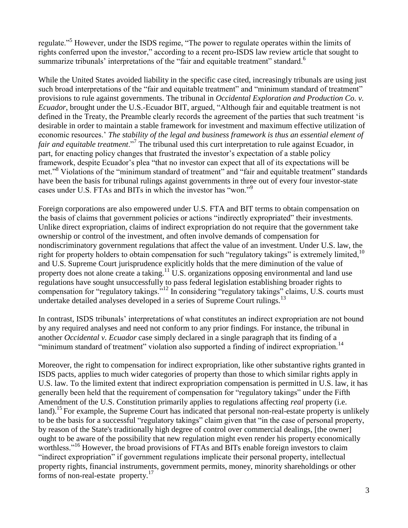regulate."<sup>5</sup> However, under the ISDS regime, "The power to regulate operates within the limits of rights conferred upon the investor," according to a recent pro-ISDS law review article that sought to summarize tribunals' interpretations of the "fair and equitable treatment" standard.<sup>6</sup>

While the United States avoided liability in the specific case cited, increasingly tribunals are using just such broad interpretations of the "fair and equitable treatment" and "minimum standard of treatment" provisions to rule against governments. The tribunal in *Occidental Exploration and Production Co. v. Ecuador*, brought under the U.S.-Ecuador BIT, argued, "Although fair and equitable treatment is not defined in the Treaty, the Preamble clearly records the agreement of the parties that such treatment 'is desirable in order to maintain a stable framework for investment and maximum effective utilization of economic resources.' *The stability of the legal and business framework is thus an essential element of fair and equitable treatment*."<sup>7</sup> The tribunal used this curt interpretation to rule against Ecuador, in part, for enacting policy changes that frustrated the investor's expectation of a stable policy framework, despite Ecuador's plea "that no investor can expect that all of its expectations will be met."<sup>8</sup> Violations of the "minimum standard of treatment" and "fair and equitable treatment" standards have been the basis for tribunal rulings against governments in three out of every four investor-state cases under U.S. FTAs and BITs in which the investor has "won."<sup>9</sup>

Foreign corporations are also empowered under U.S. FTA and BIT terms to obtain compensation on the basis of claims that government policies or actions "indirectly expropriated" their investments. Unlike direct expropriation, claims of indirect expropriation do not require that the government take ownership or control of the investment, and often involve demands of compensation for nondiscriminatory government regulations that affect the value of an investment. Under U.S. law, the right for property holders to obtain compensation for such "regulatory takings" is extremely limited,<sup>10</sup> and U.S. Supreme Court jurisprudence explicitly holds that the mere diminution of the value of property does not alone create a taking.<sup>11</sup> U.S. organizations opposing environmental and land use regulations have sought unsuccessfully to pass federal legislation establishing broader rights to compensation for "regulatory takings."<sup>12</sup> In considering "regulatory takings" claims, U.S. courts must undertake detailed analyses developed in a series of Supreme Court rulings.<sup>13</sup>

In contrast, ISDS tribunals' interpretations of what constitutes an indirect expropriation are not bound by any required analyses and need not conform to any prior findings. For instance, the tribunal in another *Occidental v. Ecuador* case simply declared in a single paragraph that its finding of a "minimum standard of treatment" violation also supported a finding of indirect expropriation.<sup>14</sup>

Moreover, the right to compensation for indirect expropriation, like other substantive rights granted in ISDS pacts, applies to much wider categories of property than those to which similar rights apply in U.S. law. To the limited extent that indirect expropriation compensation is permitted in U.S. law, it has generally been held that the requirement of compensation for "regulatory takings" under the Fifth Amendment of the U.S. Constitution primarily applies to regulations affecting *real* property (i.e. land).<sup>15</sup> For example, the Supreme Court has indicated that personal non-real-estate property is unlikely to be the basis for a successful "regulatory takings" claim given that "in the case of personal property, by reason of the State's traditionally high degree of control over commercial dealings, [the owner] ought to be aware of the possibility that new regulation might even render his property economically worthless."<sup>16</sup> However, the broad provisions of FTAs and BITs enable foreign investors to claim "indirect expropriation" if government regulations implicate their personal property, intellectual property rights, financial instruments, government permits, money, minority shareholdings or other forms of non-real-estate property. $17$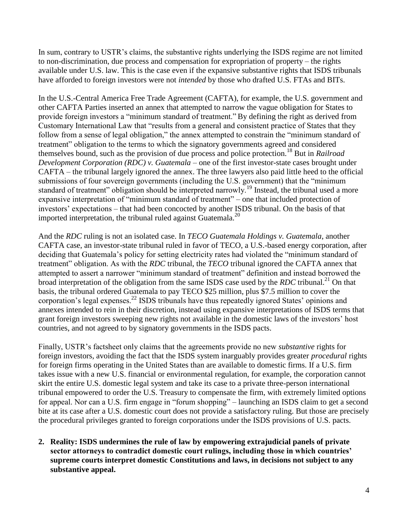In sum, contrary to USTR's claims, the substantive rights underlying the ISDS regime are not limited to non-discrimination, due process and compensation for expropriation of property – the rights available under U.S. law. This is the case even if the expansive substantive rights that ISDS tribunals have afforded to foreign investors were not *intended* by those who drafted U.S. FTAs and BITs.

In the U.S.-Central America Free Trade Agreement (CAFTA), for example, the U.S. government and other CAFTA Parties inserted an annex that attempted to narrow the vague obligation for States to provide foreign investors a "minimum standard of treatment." By defining the right as derived from Customary International Law that "results from a general and consistent practice of States that they follow from a sense of legal obligation," the annex attempted to constrain the "minimum standard of treatment" obligation to the terms to which the signatory governments agreed and considered themselves bound, such as the provision of due process and police protection.<sup>18</sup> But in *Railroad Development Corporation (RDC) v. Guatemala* – one of the first investor-state cases brought under CAFTA – the tribunal largely ignored the annex. The three lawyers also paid little heed to the official submissions of four sovereign governments (including the U.S. government) that the "minimum standard of treatment" obligation should be interpreted narrowly.<sup>19</sup> Instead, the tribunal used a more expansive interpretation of "minimum standard of treatment" – one that included protection of investors' expectations – that had been concocted by another ISDS tribunal. On the basis of that imported interpretation, the tribunal ruled against Guatemala.<sup>20</sup>

And the *RDC* ruling is not an isolated case. In *TECO Guatemala Holdings v. Guatemala*, another CAFTA case, an investor-state tribunal ruled in favor of TECO, a U.S.-based energy corporation, after deciding that Guatemala's policy for setting electricity rates had violated the "minimum standard of treatment" obligation. As with the *RDC* tribunal, the *TECO* tribunal ignored the CAFTA annex that attempted to assert a narrower "minimum standard of treatment" definition and instead borrowed the broad interpretation of the obligation from the same ISDS case used by the *RDC* tribunal.<sup>21</sup> On that basis, the tribunal ordered Guatemala to pay TECO \$25 million, plus \$7.5 million to cover the corporation's legal expenses.<sup>22</sup> ISDS tribunals have thus repeatedly ignored States' opinions and annexes intended to rein in their discretion, instead using expansive interpretations of ISDS terms that grant foreign investors sweeping new rights not available in the domestic laws of the investors' host countries, and not agreed to by signatory governments in the ISDS pacts.

Finally, USTR's factsheet only claims that the agreements provide no new *substantive* rights for foreign investors, avoiding the fact that the ISDS system inarguably provides greater *procedural* rights for foreign firms operating in the United States than are available to domestic firms. If a U.S. firm takes issue with a new U.S. financial or environmental regulation, for example, the corporation cannot skirt the entire U.S. domestic legal system and take its case to a private three-person international tribunal empowered to order the U.S. Treasury to compensate the firm, with extremely limited options for appeal. Nor can a U.S. firm engage in "forum shopping" – launching an ISDS claim to get a second bite at its case after a U.S. domestic court does not provide a satisfactory ruling. But those are precisely the procedural privileges granted to foreign corporations under the ISDS provisions of U.S. pacts.

**2. Reality: ISDS undermines the rule of law by empowering extrajudicial panels of private sector attorneys to contradict domestic court rulings, including those in which countries' supreme courts interpret domestic Constitutions and laws, in decisions not subject to any substantive appeal.**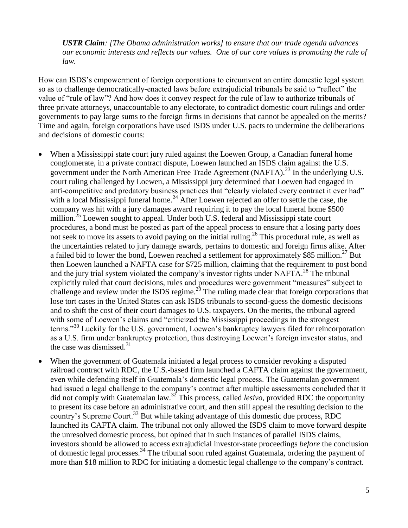*USTR Claim: [The Obama administration works] to ensure that our trade agenda advances our economic interests and reflects our values. One of our core values is promoting the rule of law.* 

How can ISDS's empowerment of foreign corporations to circumvent an entire domestic legal system so as to challenge democratically-enacted laws before extrajudicial tribunals be said to "reflect" the value of "rule of law"? And how does it convey respect for the rule of law to authorize tribunals of three private attorneys, unaccountable to any electorate, to contradict domestic court rulings and order governments to pay large sums to the foreign firms in decisions that cannot be appealed on the merits? Time and again, foreign corporations have used ISDS under U.S. pacts to undermine the deliberations and decisions of domestic courts:

- When a Mississippi state court jury ruled against the Loewen Group, a Canadian funeral home conglomerate, in a private contract dispute, Loewen launched an ISDS claim against the U.S. government under the North American Free Trade Agreement (NAFTA).<sup>23</sup> In the underlying U.S. court ruling challenged by Loewen, a Mississippi jury determined that Loewen had engaged in anti-competitive and predatory business practices that "clearly violated every contract it ever had" with a local Mississippi funeral home.<sup>24</sup> After Loewen rejected an offer to settle the case, the company was hit with a jury damages award requiring it to pay the local funeral home \$500 million.<sup>25</sup> Loewen sought to appeal. Under both U.S. federal and Mississippi state court procedures, a bond must be posted as part of the appeal process to ensure that a losing party does not seek to move its assets to avoid paying on the initial ruling.<sup>26</sup> This procedural rule, as well as the uncertainties related to jury damage awards, pertains to domestic and foreign firms alike. After a failed bid to lower the bond, Loewen reached a settlement for approximately \$85 million.<sup>27</sup> But then Loewen launched a NAFTA case for \$725 million, claiming that the requirement to post bond and the jury trial system violated the company's investor rights under NAFTA.<sup>28</sup> The tribunal explicitly ruled that court decisions, rules and procedures were government "measures" subject to challenge and review under the ISDS regime.<sup>29</sup> The ruling made clear that foreign corporations that lose tort cases in the United States can ask ISDS tribunals to second-guess the domestic decisions and to shift the cost of their court damages to U.S. taxpayers. On the merits, the tribunal agreed with some of Loewen's claims and "criticized the Mississippi proceedings in the strongest terms."<sup>30</sup> Luckily for the U.S. government, Loewen's bankruptcy lawyers filed for reincorporation as a U.S. firm under bankruptcy protection, thus destroying Loewen's foreign investor status, and the case was dismissed. $31$
- When the government of Guatemala initiated a legal process to consider revoking a disputed railroad contract with RDC, the U.S.-based firm launched a CAFTA claim against the government, even while defending itself in Guatemala's domestic legal process. The Guatemalan government had issued a legal challenge to the company's contract after multiple assessments concluded that it did not comply with Guatemalan law.<sup>32</sup> This process, called *lesivo*, provided RDC the opportunity to present its case before an administrative court, and then still appeal the resulting decision to the country's Supreme Court.<sup>33</sup> But while taking advantage of this domestic due process, RDC launched its CAFTA claim. The tribunal not only allowed the ISDS claim to move forward despite the unresolved domestic process, but opined that in such instances of parallel ISDS claims, investors should be allowed to access extrajudicial investor-state proceedings *before* the conclusion of domestic legal processes.<sup>34</sup> The tribunal soon ruled against Guatemala, ordering the payment of more than \$18 million to RDC for initiating a domestic legal challenge to the company's contract.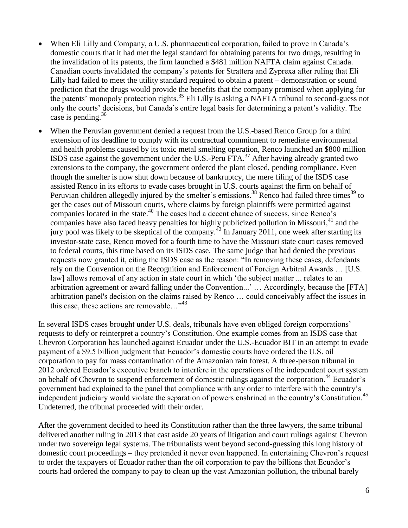- When Eli Lilly and Company, a U.S. pharmaceutical corporation, failed to prove in Canada's domestic courts that it had met the legal standard for obtaining patents for two drugs, resulting in the invalidation of its patents, the firm launched a \$481 million NAFTA claim against Canada. Canadian courts invalidated the company's patents for Strattera and Zyprexa after ruling that Eli Lilly had failed to meet the utility standard required to obtain a patent – demonstration or sound prediction that the drugs would provide the benefits that the company promised when applying for the patents' monopoly protection rights.<sup>35</sup> Eli Lilly is asking a NAFTA tribunal to second-guess not only the courts' decisions, but Canada's entire legal basis for determining a patent's validity. The case is pending. $36$
- When the Peruvian government denied a request from the U.S.-based Renco Group for a third extension of its deadline to comply with its contractual commitment to remediate environmental and health problems caused by its toxic metal smelting operation, Renco launched an \$800 million ISDS case against the government under the U.S.-Peru FTA.<sup>37</sup> After having already granted two extensions to the company, the government ordered the plant closed, pending compliance. Even though the smelter is now shut down because of bankruptcy, the mere filing of the ISDS case assisted Renco in its efforts to evade cases brought in U.S. courts against the firm on behalf of Peruvian children allegedly injured by the smelter's emissions.<sup>38</sup> Renco had failed three times<sup>39</sup> to get the cases out of Missouri courts, where claims by foreign plaintiffs were permitted against companies located in the state.<sup>40</sup> The cases had a decent chance of success, since Renco's companies have also faced heavy penalties for highly publicized pollution in Missouri, $^{41}$  and the jury pool was likely to be skeptical of the company.<sup> $42$ </sup> In January 2011, one week after starting its investor-state case, Renco moved for a fourth time to have the Missouri state court cases removed to federal courts, this time based on its ISDS case. The same judge that had denied the previous requests now granted it, citing the ISDS case as the reason: "In removing these cases, defendants rely on the Convention on the Recognition and Enforcement of Foreign Arbitral Awards … [U.S. law] allows removal of any action in state court in which 'the subject matter ... relates to an arbitration agreement or award falling under the Convention...' … Accordingly, because the [FTA] arbitration panel's decision on the claims raised by Renco … could conceivably affect the issues in this case, these actions are removable... $^{343}$

In several ISDS cases brought under U.S. deals, tribunals have even obliged foreign corporations' requests to defy or reinterpret a country's Constitution. One example comes from an ISDS case that Chevron Corporation has launched against Ecuador under the U.S.-Ecuador BIT in an attempt to evade payment of a \$9.5 billion judgment that Ecuador's domestic courts have ordered the U.S. oil corporation to pay for mass contamination of the Amazonian rain forest. A three-person tribunal in 2012 ordered Ecuador's executive branch to interfere in the operations of the independent court system on behalf of Chevron to suspend enforcement of domestic rulings against the corporation.<sup>44</sup> Ecuador's government had explained to the panel that compliance with any order to interfere with the country's independent judiciary would violate the separation of powers enshrined in the country's Constitution.<sup>45</sup> Undeterred, the tribunal proceeded with their order.

After the government decided to heed its Constitution rather than the three lawyers, the same tribunal delivered another ruling in 2013 that cast aside 20 years of litigation and court rulings against Chevron under two sovereign legal systems. The tribunalists went beyond second-guessing this long history of domestic court proceedings – they pretended it never even happened. In entertaining Chevron's request to order the taxpayers of Ecuador rather than the oil corporation to pay the billions that Ecuador's courts had ordered the company to pay to clean up the vast Amazonian pollution, the tribunal barely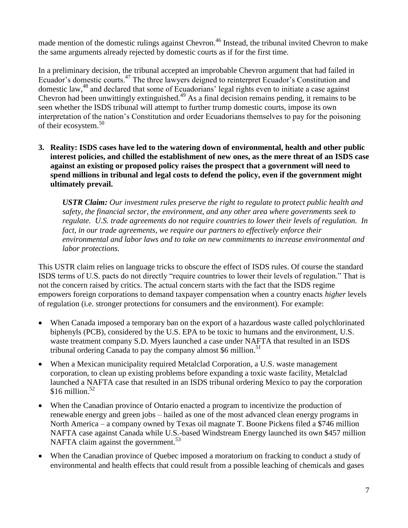made mention of the domestic rulings against Chevron.<sup>46</sup> Instead, the tribunal invited Chevron to make the same arguments already rejected by domestic courts as if for the first time.

In a preliminary decision, the tribunal accepted an improbable Chevron argument that had failed in Ecuador's domestic courts.<sup>47</sup> The three lawyers deigned to reinterpret Ecuador's Constitution and domestic law,<sup>48</sup> and declared that some of Ecuadorians' legal rights even to initiate a case against Chevron had been unwittingly extinguished.<sup>49</sup> As a final decision remains pending, it remains to be seen whether the ISDS tribunal will attempt to further trump domestic courts, impose its own interpretation of the nation's Constitution and order Ecuadorians themselves to pay for the poisoning of their ecosystem.<sup>50</sup>

**3. Reality: ISDS cases have led to the watering down of environmental, health and other public interest policies, and chilled the establishment of new ones, as the mere threat of an ISDS case against an existing or proposed policy raises the prospect that a government will need to spend millions in tribunal and legal costs to defend the policy, even if the government might ultimately prevail.**

*USTR Claim: Our investment rules preserve the right to regulate to protect public health and safety, the financial sector, the environment, and any other area where governments seek to regulate. U.S. trade agreements do not require countries to lower their levels of regulation. In fact, in our trade agreements, we require our partners to effectively enforce their environmental and labor laws and to take on new commitments to increase environmental and labor protections.*

This USTR claim relies on language tricks to obscure the effect of ISDS rules. Of course the standard ISDS terms of U.S. pacts do not directly "require countries to lower their levels of regulation." That is not the concern raised by critics. The actual concern starts with the fact that the ISDS regime empowers foreign corporations to demand taxpayer compensation when a country enacts *higher* levels of regulation (i.e. stronger protections for consumers and the environment). For example:

- When Canada imposed a temporary ban on the export of a hazardous waste called polychlorinated biphenyls (PCB), considered by the U.S. EPA to be toxic to humans and the environment, U.S. waste treatment company S.D. Myers launched a case under NAFTA that resulted in an ISDS tribunal ordering Canada to pay the company almost  $$6$  million.<sup>51</sup>
- When a Mexican municipality required Metalclad Corporation, a U.S. waste management corporation, to clean up existing problems before expanding a toxic waste facility, Metalclad launched a NAFTA case that resulted in an ISDS tribunal ordering Mexico to pay the corporation  $$16$  million.<sup>52</sup>
- When the Canadian province of Ontario enacted a program to incentivize the production of renewable energy and green jobs – hailed as one of the most advanced clean energy programs in North America – a company owned by Texas oil magnate T. Boone Pickens filed a \$746 million NAFTA case against Canada while U.S.-based Windstream Energy launched its own \$457 million NAFTA claim against the government.<sup>53</sup>
- When the Canadian province of Quebec imposed a moratorium on fracking to conduct a study of environmental and health effects that could result from a possible leaching of chemicals and gases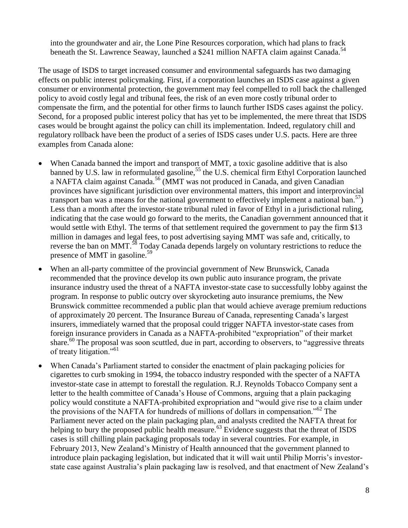into the groundwater and air, the Lone Pine Resources corporation, which had plans to frack beneath the St. Lawrence Seaway, launched a \$241 million NAFTA claim against Canada.<sup>54</sup>

The usage of ISDS to target increased consumer and environmental safeguards has two damaging effects on public interest policymaking. First, if a corporation launches an ISDS case against a given consumer or environmental protection, the government may feel compelled to roll back the challenged policy to avoid costly legal and tribunal fees, the risk of an even more costly tribunal order to compensate the firm, and the potential for other firms to launch further ISDS cases against the policy. Second, for a proposed public interest policy that has yet to be implemented, the mere threat that ISDS cases would be brought against the policy can chill its implementation. Indeed, regulatory chill and regulatory rollback have been the product of a series of ISDS cases under U.S. pacts. Here are three examples from Canada alone:

- When Canada banned the import and transport of MMT, a toxic gasoline additive that is also banned by U.S. law in reformulated gasoline,<sup>55</sup> the U.S. chemical firm Ethyl Corporation launched a NAFTA claim against Canada.<sup>56</sup> (MMT was not produced in Canada, and given Canadian provinces have significant jurisdiction over environmental matters, this import and interprovincial transport ban was a means for the national government to effectively implement a national ban.<sup>57</sup>) Less than a month after the investor-state tribunal ruled in favor of Ethyl in a jurisdictional ruling, indicating that the case would go forward to the merits, the Canadian government announced that it would settle with Ethyl. The terms of that settlement required the government to pay the firm \$13 million in damages and legal fees, to post advertising saying MMT was safe and, critically, to reverse the ban on MMT.<sup>58</sup> Today Canada depends largely on voluntary restrictions to reduce the presence of MMT in gasoline.<sup>59</sup>
- When an all-party committee of the provincial government of New Brunswick, Canada recommended that the province develop its own public auto insurance program, the private insurance industry used the threat of a NAFTA investor-state case to successfully lobby against the program. In response to public outcry over skyrocketing auto insurance premiums, the New Brunswick committee recommended a public plan that would achieve average premium reductions of approximately 20 percent. The Insurance Bureau of Canada, representing Canada's largest insurers, immediately warned that the proposal could trigger NAFTA investor-state cases from foreign insurance providers in Canada as a NAFTA-prohibited "expropriation" of their market share.<sup>60</sup> The proposal was soon scuttled, due in part, according to observers, to "aggressive threats" of treaty litigation."<sup>61</sup>
- When Canada's Parliament started to consider the enactment of plain packaging policies for cigarettes to curb smoking in 1994, the tobacco industry responded with the specter of a NAFTA investor-state case in attempt to forestall the regulation. R.J. Reynolds Tobacco Company sent a letter to the health committee of Canada's House of Commons, arguing that a plain packaging policy would constitute a NAFTA-prohibited expropriation and "would give rise to a claim under the provisions of the NAFTA for hundreds of millions of dollars in compensation.<sup>562</sup> The Parliament never acted on the plain packaging plan, and analysts credited the NAFTA threat for helping to bury the proposed public health measure.<sup>63</sup> Evidence suggests that the threat of ISDS cases is still chilling plain packaging proposals today in several countries. For example, in February 2013, New Zealand's Ministry of Health announced that the government planned to introduce plain packaging legislation, but indicated that it will wait until Philip Morris's investorstate case against Australia's plain packaging law is resolved, and that enactment of New Zealand's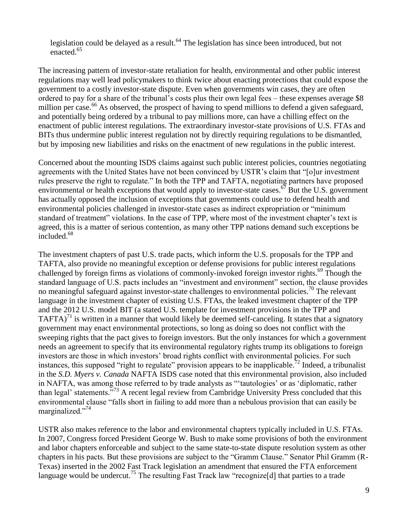legislation could be delayed as a result.<sup>64</sup> The legislation has since been introduced, but not enacted.<sup>65</sup>

The increasing pattern of investor-state retaliation for health, environmental and other public interest regulations may well lead policymakers to think twice about enacting protections that could expose the government to a costly investor-state dispute. Even when governments win cases, they are often ordered to pay for a share of the tribunal's costs plus their own legal fees – these expenses average \$8 million per case.<sup>66</sup> As observed, the prospect of having to spend millions to defend a given safeguard, and potentially being ordered by a tribunal to pay millions more, can have a chilling effect on the enactment of public interest regulations. The extraordinary investor-state provisions of U.S. FTAs and BITs thus undermine public interest regulation not by directly requiring regulations to be dismantled, but by imposing new liabilities and risks on the enactment of new regulations in the public interest.

Concerned about the mounting ISDS claims against such public interest policies, countries negotiating agreements with the United States have not been convinced by USTR's claim that "[o]ur investment rules preserve the right to regulate." In both the TPP and TAFTA, negotiating partners have proposed environmental or health exceptions that would apply to investor-state cases.<sup>67</sup> But the U.S. government has actually opposed the inclusion of exceptions that governments could use to defend health and environmental policies challenged in investor-state cases as indirect expropriation or "minimum standard of treatment" violations. In the case of TPP, where most of the investment chapter's text is agreed, this is a matter of serious contention, as many other TPP nations demand such exceptions be included.<sup>68</sup>

The investment chapters of past U.S. trade pacts, which inform the U.S. proposals for the TPP and TAFTA, also provide no meaningful exception or defense provisions for public interest regulations challenged by foreign firms as violations of commonly-invoked foreign investor rights.<sup>69</sup> Though the standard language of U.S. pacts includes an "investment and environment" section, the clause provides no meaningful safeguard against investor-state challenges to environmental policies.<sup>70</sup> The relevant language in the investment chapter of existing U.S. FTAs, the leaked investment chapter of the TPP and the 2012 U.S. model BIT (a stated U.S. template for investment provisions in the TPP and TAFTA)<sup>71</sup> is written in a manner that would likely be deemed self-canceling. It states that a signatory government may enact environmental protections, so long as doing so does not conflict with the sweeping rights that the pact gives to foreign investors. But the only instances for which a government needs an agreement to specify that its environmental regulatory rights trump its obligations to foreign investors are those in which investors' broad rights conflict with environmental policies. For such instances, this supposed "right to regulate" provision appears to be inapplicable.<sup>72</sup> Indeed, a tribunalist in the *S.D. Myers v. Canada* NAFTA ISDS case noted that this environmental provision, also included in NAFTA, was among those referred to by trade analysts as "'tautologies' or as 'diplomatic, rather than legal' statements."<sup>73</sup> A recent legal review from Cambridge University Press concluded that this environmental clause "falls short in failing to add more than a nebulous provision that can easily be marginalized."<sup>74</sup>

USTR also makes reference to the labor and environmental chapters typically included in U.S. FTAs. In 2007, Congress forced President George W. Bush to make some provisions of both the environment and labor chapters enforceable and subject to the same state-to-state dispute resolution system as other chapters in his pacts. But these provisions are subject to the "Gramm Clause." Senator Phil Gramm (R-Texas) inserted in the 2002 Fast Track legislation an amendment that ensured the FTA enforcement language would be undercut.<sup>75</sup> The resulting Fast Track law "recognize [d] that parties to a trade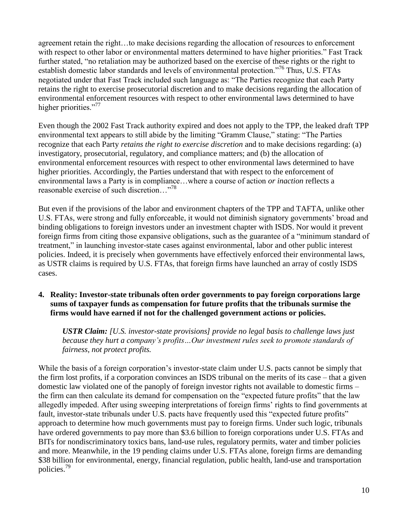agreement retain the right…to make decisions regarding the allocation of resources to enforcement with respect to other labor or environmental matters determined to have higher priorities." Fast Track further stated, "no retaliation may be authorized based on the exercise of these rights or the right to establish domestic labor standards and levels of environmental protection."<sup>76</sup> Thus, U.S. FTAs negotiated under that Fast Track included such language as: "The Parties recognize that each Party retains the right to exercise prosecutorial discretion and to make decisions regarding the allocation of environmental enforcement resources with respect to other environmental laws determined to have higher priorities."<sup>77</sup>

Even though the 2002 Fast Track authority expired and does not apply to the TPP, the leaked draft TPP environmental text appears to still abide by the limiting "Gramm Clause," stating: "The Parties recognize that each Party *retains the right to exercise discretion* and to make decisions regarding: (a) investigatory, prosecutorial, regulatory, and compliance matters; and (b) the allocation of environmental enforcement resources with respect to other environmental laws determined to have higher priorities. Accordingly, the Parties understand that with respect to the enforcement of environmental laws a Party is in compliance…where a course of action *or inaction* reflects a reasonable exercise of such discretion…"<sup>78</sup>

But even if the provisions of the labor and environment chapters of the TPP and TAFTA, unlike other U.S. FTAs, were strong and fully enforceable, it would not diminish signatory governments' broad and binding obligations to foreign investors under an investment chapter with ISDS. Nor would it prevent foreign firms from citing those expansive obligations, such as the guarantee of a "minimum standard of treatment," in launching investor-state cases against environmental, labor and other public interest policies. Indeed, it is precisely when governments have effectively enforced their environmental laws, as USTR claims is required by U.S. FTAs, that foreign firms have launched an array of costly ISDS cases.

#### **4. Reality: Investor-state tribunals often order governments to pay foreign corporations large sums of taxpayer funds as compensation for future profits that the tribunals surmise the firms would have earned if not for the challenged government actions or policies.**

*USTR Claim: [U.S. investor-state provisions] provide no legal basis to challenge laws just because they hurt a company's profits…Our investment rules seek to promote standards of fairness, not protect profits.*

While the basis of a foreign corporation's investor-state claim under U.S. pacts cannot be simply that the firm lost profits, if a corporation convinces an ISDS tribunal on the merits of its case – that a given domestic law violated one of the panoply of foreign investor rights not available to domestic firms – the firm can then calculate its demand for compensation on the "expected future profits" that the law allegedly impeded. After using sweeping interpretations of foreign firms' rights to find governments at fault, investor-state tribunals under U.S. pacts have frequently used this "expected future profits" approach to determine how much governments must pay to foreign firms. Under such logic, tribunals have ordered governments to pay more than \$3.6 billion to foreign corporations under U.S. FTAs and BITs for nondiscriminatory toxics bans, land-use rules, regulatory permits, water and timber policies and more. Meanwhile, in the 19 pending claims under U.S. FTAs alone, foreign firms are demanding \$38 billion for environmental, energy, financial regulation, public health, land-use and transportation policies.<sup>79</sup>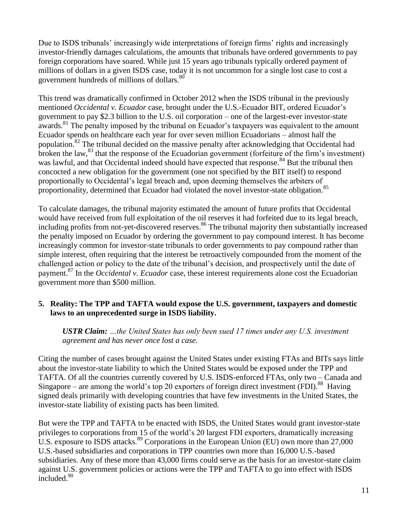Due to ISDS tribunals' increasingly wide interpretations of foreign firms' rights and increasingly investor-friendly damages calculations, the amounts that tribunals have ordered governments to pay foreign corporations have soared. While just 15 years ago tribunals typically ordered payment of millions of dollars in a given ISDS case, today it is not uncommon for a single lost case to cost a government hundreds of millions of dollars.<sup>80</sup>

This trend was dramatically confirmed in October 2012 when the ISDS tribunal in the previously mentioned *Occidental v. Ecuador* case, brought under the U.S.-Ecuador BIT, ordered Ecuador's government to pay \$2.3 billion to the U.S. oil corporation – one of the largest-ever investor-state awards.<sup>81</sup> The penalty imposed by the tribunal on Ecuador's taxpayers was equivalent to the amount Ecuador spends on healthcare each year for over seven million Ecuadorians – almost half the population.<sup>82</sup> The tribunal decided on the massive penalty after acknowledging that Occidental had broken the law, $^{83}$  that the response of the Ecuadorian government (forfeiture of the firm's investment) was lawful, and that Occidental indeed should have expected that response.<sup>84</sup> But the tribunal then concocted a new obligation for the government (one not specified by the BIT itself) to respond proportionally to Occidental's legal breach and, upon deeming themselves the arbiters of proportionality, determined that Ecuador had violated the novel investor-state obligation.<sup>85</sup>

To calculate damages, the tribunal majority estimated the amount of future profits that Occidental would have received from full exploitation of the oil reserves it had forfeited due to its legal breach, including profits from not-yet-discovered reserves.<sup>86</sup> The tribunal majority then substantially increased the penalty imposed on Ecuador by ordering the government to pay compound interest. It has become increasingly common for investor-state tribunals to order governments to pay compound rather than simple interest, often requiring that the interest be retroactively compounded from the moment of the challenged action or policy to the date of the tribunal's decision, and prospectively until the date of payment.<sup>87</sup> In the *Occidental v. Ecuador* case, these interest requirements alone cost the Ecuadorian government more than \$500 million.

# **5. Reality: The TPP and TAFTA would expose the U.S. government, taxpayers and domestic laws to an unprecedented surge in ISDS liability.**

*USTR Claim: …the United States has only been sued 17 times under any U.S. investment agreement and has never once lost a case.* 

Citing the number of cases brought against the United States under existing FTAs and BITs says little about the investor-state liability to which the United States would be exposed under the TPP and TAFTA. Of all the countries currently covered by U.S. ISDS-enforced FTAs, only two – Canada and Singapore – are among the world's top 20 exporters of foreign direct investment (FDI).<sup>88</sup> Having signed deals primarily with developing countries that have few investments in the United States, the investor-state liability of existing pacts has been limited.

But were the TPP and TAFTA to be enacted with ISDS, the United States would grant investor-state privileges to corporations from 15 of the world's 20 largest FDI exporters, dramatically increasing U.S. exposure to ISDS attacks.<sup>89</sup> Corporations in the European Union (EU) own more than 27,000 U.S.-based subsidiaries and corporations in TPP countries own more than 16,000 U.S.-based subsidiaries. Any of these more than 43,000 firms could serve as the basis for an investor-state claim against U.S. government policies or actions were the TPP and TAFTA to go into effect with ISDS included.<sup>90</sup>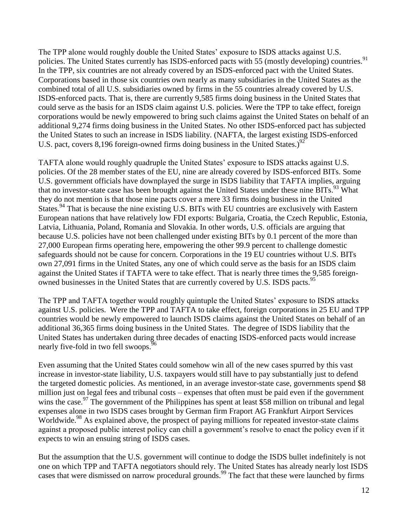The TPP alone would roughly double the United States' exposure to ISDS attacks against U.S. policies. The United States currently has ISDS-enforced pacts with 55 (mostly developing) countries.<sup>91</sup> In the TPP, six countries are not already covered by an ISDS-enforced pact with the United States. Corporations based in those six countries own nearly as many subsidiaries in the United States as the combined total of all U.S. subsidiaries owned by firms in the 55 countries already covered by U.S. ISDS-enforced pacts. That is, there are currently 9,585 firms doing business in the United States that could serve as the basis for an ISDS claim against U.S. policies. Were the TPP to take effect, foreign corporations would be newly empowered to bring such claims against the United States on behalf of an additional 9,274 firms doing business in the United States. No other ISDS-enforced pact has subjected the United States to such an increase in ISDS liability. (NAFTA, the largest existing ISDS-enforced U.S. pact, covers 8,196 foreign-owned firms doing business in the United States.)<sup>92</sup>

TAFTA alone would roughly quadruple the United States' exposure to ISDS attacks against U.S. policies. Of the 28 member states of the EU, nine are already covered by ISDS-enforced BITs. Some U.S. government officials have downplayed the surge in ISDS liability that TAFTA implies, arguing that no investor-state case has been brought against the United States under these nine BITs.<sup>93</sup> What they do not mention is that those nine pacts cover a mere 33 firms doing business in the United States.<sup>94</sup> That is because the nine existing U.S. BITs with EU countries are exclusively with Eastern European nations that have relatively low FDI exports: Bulgaria, Croatia, the Czech Republic, Estonia, Latvia, Lithuania, Poland, Romania and Slovakia. In other words, U.S. officials are arguing that because U.S. policies have not been challenged under existing BITs by 0.1 percent of the more than 27,000 European firms operating here, empowering the other 99.9 percent to challenge domestic safeguards should not be cause for concern. Corporations in the 19 EU countries without U.S. BITs own 27,091 firms in the United States, any one of which could serve as the basis for an ISDS claim against the United States if TAFTA were to take effect. That is nearly three times the 9,585 foreignowned businesses in the United States that are currently covered by U.S. ISDS pacts.<sup>95</sup>

The TPP and TAFTA together would roughly quintuple the United States' exposure to ISDS attacks against U.S. policies. Were the TPP and TAFTA to take effect, foreign corporations in 25 EU and TPP countries would be newly empowered to launch ISDS claims against the United States on behalf of an additional 36,365 firms doing business in the United States. The degree of ISDS liability that the United States has undertaken during three decades of enacting ISDS-enforced pacts would increase nearly five-fold in two fell swoops.<sup>96</sup>

Even assuming that the United States could somehow win all of the new cases spurred by this vast increase in investor-state liability, U.S. taxpayers would still have to pay substantially just to defend the targeted domestic policies. As mentioned, in an average investor-state case, governments spend \$8 million just on legal fees and tribunal costs – expenses that often must be paid even if the government wins the case.<sup>97</sup> The government of the Philippines has spent at least \$58 million on tribunal and legal expenses alone in two ISDS cases brought by German firm Fraport AG Frankfurt Airport Services Worldwide.<sup>98</sup> As explained above, the prospect of paying millions for repeated investor-state claims against a proposed public interest policy can chill a government's resolve to enact the policy even if it expects to win an ensuing string of ISDS cases.

But the assumption that the U.S. government will continue to dodge the ISDS bullet indefinitely is not one on which TPP and TAFTA negotiators should rely. The United States has already nearly lost ISDS cases that were dismissed on narrow procedural grounds.<sup>99</sup> The fact that these were launched by firms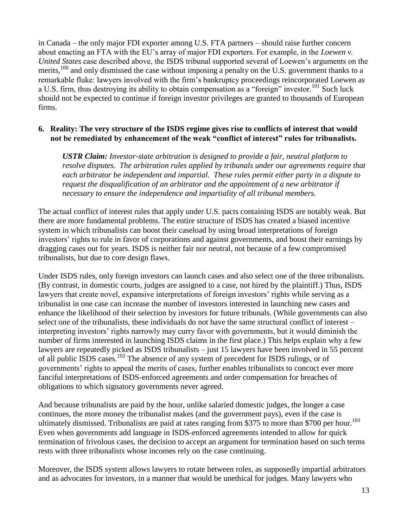in Canada – the only major FDI exporter among U.S. FTA partners – should raise further concern about enacting an FTA with the EU's array of major FDI exporters. For example, in the *Loewen v. United States* case described above, the ISDS tribunal supported several of Loewen's arguments on the merits,<sup>100</sup> and only dismissed the case without imposing a penalty on the U.S. government thanks to a remarkable fluke: lawyers involved with the firm's bankruptcy proceedings reincorporated Loewen as a U.S. firm, thus destroying its ability to obtain compensation as a "foreign" investor.<sup>101</sup> Such luck should not be expected to continue if foreign investor privileges are granted to thousands of European firms.

# **6. Reality: The very structure of the ISDS regime gives rise to conflicts of interest that would not be remediated by enhancement of the weak "conflict of interest" rules for tribunalists.**

*USTR Claim: Investor-state arbitration is designed to provide a fair, neutral platform to resolve disputes. The arbitration rules applied by tribunals under our agreements require that each arbitrator be independent and impartial. These rules permit either party in a dispute to request the disqualification of an arbitrator and the appointment of a new arbitrator if necessary to ensure the independence and impartiality of all tribunal members.* 

The actual conflict of interest rules that apply under U.S. pacts containing ISDS are notably weak. But there are more fundamental problems. The entire structure of ISDS has created a biased incentive system in which tribunalists can boost their caseload by using broad interpretations of foreign investors' rights to rule in favor of corporations and against governments, and boost their earnings by dragging cases out for years. ISDS is neither fair nor neutral, not because of a few compromised tribunalists, but due to core design flaws.

Under ISDS rules, only foreign investors can launch cases and also select one of the three tribunalists. (By contrast, in domestic courts, judges are assigned to a case, not hired by the plaintiff.) Thus, ISDS lawyers that create novel, expansive interpretations of foreign investors' rights while serving as a tribunalist in one case can increase the number of investors interested in launching new cases and enhance the likelihood of their selection by investors for future tribunals. (While governments can also select one of the tribunalists, these individuals do not have the same structural conflict of interest – interpreting investors' rights narrowly may curry favor with governments, but it would diminish the number of firms interested in launching ISDS claims in the first place.) This helps explain why a few lawyers are repeatedly picked as ISDS tribunalists – just 15 lawyers have been involved in 55 percent of all public ISDS cases.<sup>102</sup> The absence of any system of precedent for ISDS rulings, or of governments' rights to appeal the merits of cases, further enables tribunalists to concoct ever more fanciful interpretations of ISDS-enforced agreements and order compensation for breaches of obligations to which signatory governments never agreed.

And because tribunalists are paid by the hour, unlike salaried domestic judges, the longer a case continues, the more money the tribunalist makes (and the government pays), even if the case is ultimately dismissed. Tribunalists are paid at rates ranging from \$375 to more than \$700 per hour.<sup>103</sup> Even when governments add language in ISDS-enforced agreements intended to allow for quick termination of frivolous cases, the decision to accept an argument for termination based on such terms rests with three tribunalists whose incomes rely on the case continuing.

Moreover, the ISDS system allows lawyers to rotate between roles, as supposedly impartial arbitrators and as advocates for investors, in a manner that would be unethical for judges. Many lawyers who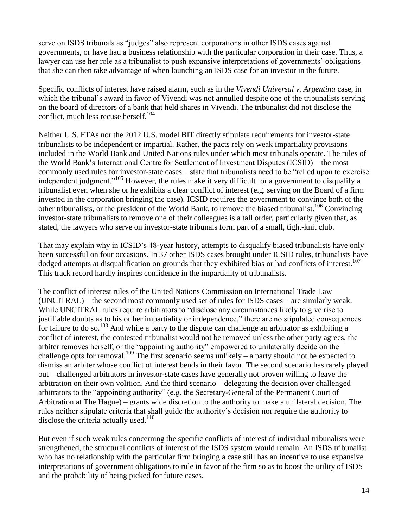serve on ISDS tribunals as "judges" also represent corporations in other ISDS cases against governments, or have had a business relationship with the particular corporation in their case. Thus, a lawyer can use her role as a tribunalist to push expansive interpretations of governments' obligations that she can then take advantage of when launching an ISDS case for an investor in the future.

Specific conflicts of interest have raised alarm, such as in the *Vivendi Universal v. Argentina* case, in which the tribunal's award in favor of Vivendi was not annulled despite one of the tribunalists serving on the board of directors of a bank that held shares in Vivendi. The tribunalist did not disclose the conflict, much less recuse herself. $104$ 

Neither U.S. FTAs nor the 2012 U.S. model BIT directly stipulate requirements for investor-state tribunalists to be independent or impartial. Rather, the pacts rely on weak impartiality provisions included in the World Bank and United Nations rules under which most tribunals operate. The rules of the World Bank's International Centre for Settlement of Investment Disputes (ICSID) – the most commonly used rules for investor-state cases – state that tribunalists need to be "relied upon to exercise independent judgment."<sup>105</sup> However, the rules make it very difficult for a government to disqualify a tribunalist even when she or he exhibits a clear conflict of interest (e.g. serving on the Board of a firm invested in the corporation bringing the case). ICSID requires the government to convince both of the other tribunalists, or the president of the World Bank, to remove the biased tribunalist.<sup>106</sup> Convincing investor-state tribunalists to remove one of their colleagues is a tall order, particularly given that, as stated, the lawyers who serve on investor-state tribunals form part of a small, tight-knit club.

That may explain why in ICSID's 48-year history, attempts to disqualify biased tribunalists have only been successful on four occasions. In 37 other ISDS cases brought under ICSID rules, tribunalists have dodged attempts at disqualification on grounds that they exhibited bias or had conflicts of interest.<sup>107</sup> This track record hardly inspires confidence in the impartiality of tribunalists.

The conflict of interest rules of the United Nations Commission on International Trade Law (UNCITRAL) – the second most commonly used set of rules for ISDS cases – are similarly weak. While UNCITRAL rules require arbitrators to "disclose any circumstances likely to give rise to justifiable doubts as to his or her impartiality or independence," there are no stipulated consequences for failure to do so.<sup>108</sup> And while a party to the dispute can challenge an arbitrator as exhibiting a conflict of interest, the contested tribunalist would not be removed unless the other party agrees, the arbiter removes herself, or the "appointing authority" empowered to unilaterally decide on the challenge opts for removal.<sup>109</sup> The first scenario seems unlikely – a party should not be expected to dismiss an arbiter whose conflict of interest bends in their favor. The second scenario has rarely played out – challenged arbitrators in investor-state cases have generally not proven willing to leave the arbitration on their own volition. And the third scenario – delegating the decision over challenged arbitrators to the "appointing authority" (e.g. the Secretary-General of the Permanent Court of Arbitration at The Hague) – grants wide discretion to the authority to make a unilateral decision. The rules neither stipulate criteria that shall guide the authority's decision nor require the authority to disclose the criteria actually used.<sup>110</sup>

But even if such weak rules concerning the specific conflicts of interest of individual tribunalists were strengthened, the structural conflicts of interest of the ISDS system would remain. An ISDS tribunalist who has no relationship with the particular firm bringing a case still has an incentive to use expansive interpretations of government obligations to rule in favor of the firm so as to boost the utility of ISDS and the probability of being picked for future cases.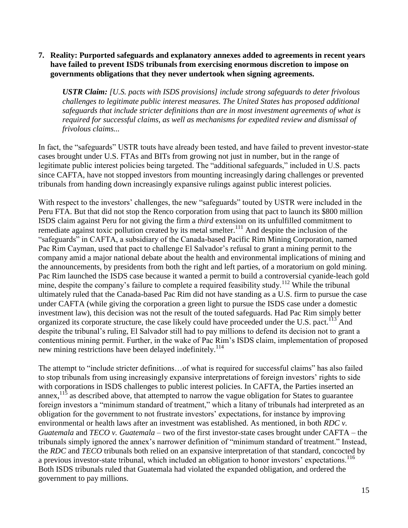#### **7. Reality: Purported safeguards and explanatory annexes added to agreements in recent years have failed to prevent ISDS tribunals from exercising enormous discretion to impose on governments obligations that they never undertook when signing agreements.**

*USTR Claim: [U.S. pacts with ISDS provisions] include strong safeguards to deter frivolous challenges to legitimate public interest measures. The United States has proposed additional safeguards that include stricter definitions than are in most investment agreements of what is required for successful claims, as well as mechanisms for expedited review and dismissal of frivolous claims...*

In fact, the "safeguards" USTR touts have already been tested, and have failed to prevent investor-state cases brought under U.S. FTAs and BITs from growing not just in number, but in the range of legitimate public interest policies being targeted. The "additional safeguards," included in U.S. pacts since CAFTA, have not stopped investors from mounting increasingly daring challenges or prevented tribunals from handing down increasingly expansive rulings against public interest policies.

With respect to the investors' challenges, the new "safeguards" touted by USTR were included in the Peru FTA. But that did not stop the Renco corporation from using that pact to launch its \$800 million ISDS claim against Peru for not giving the firm a *third* extension on its unfulfilled commitment to remediate against toxic pollution created by its metal smelter.<sup>111</sup> And despite the inclusion of the "safeguards" in CAFTA, a subsidiary of the Canada-based Pacific Rim Mining Corporation, named Pac Rim Cayman, used that pact to challenge El Salvador's refusal to grant a mining permit to the company amid a major national debate about the health and environmental implications of mining and the announcements, by presidents from both the right and left parties, of a moratorium on gold mining. Pac Rim launched the ISDS case because it wanted a permit to build a controversial cyanide-leach gold mine, despite the company's failure to complete a required feasibility study.<sup>112</sup> While the tribunal ultimately ruled that the Canada-based Pac Rim did not have standing as a U.S. firm to pursue the case under CAFTA (while giving the corporation a green light to pursue the ISDS case under a domestic investment law), this decision was not the result of the touted safeguards. Had Pac Rim simply better organized its corporate structure, the case likely could have proceeded under the U.S. pact.<sup>113</sup> And despite the tribunal's ruling, El Salvador still had to pay millions to defend its decision not to grant a contentious mining permit. Further, in the wake of Pac Rim's ISDS claim, implementation of proposed new mining restrictions have been delayed indefinitely.<sup>114</sup>

The attempt to "include stricter definitions…of what is required for successful claims" has also failed to stop tribunals from using increasingly expansive interpretations of foreign investors' rights to side with corporations in ISDS challenges to public interest policies. In CAFTA, the Parties inserted an annex,  $115$  as described above, that attempted to narrow the vague obligation for States to guarantee foreign investors a "minimum standard of treatment," which a litany of tribunals had interpreted as an obligation for the government to not frustrate investors' expectations, for instance by improving environmental or health laws after an investment was established. As mentioned, in both *RDC v. Guatemala* and *TECO v. Guatemala* – two of the first investor-state cases brought under CAFTA – the tribunals simply ignored the annex's narrower definition of "minimum standard of treatment." Instead, the *RDC* and *TECO* tribunals both relied on an expansive interpretation of that standard, concocted by a previous investor-state tribunal, which included an obligation to honor investors' expectations.<sup>116</sup> Both ISDS tribunals ruled that Guatemala had violated the expanded obligation, and ordered the government to pay millions.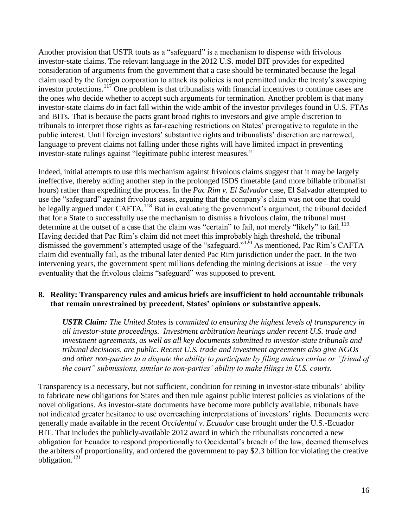Another provision that USTR touts as a "safeguard" is a mechanism to dispense with frivolous investor-state claims. The relevant language in the 2012 U.S. model BIT provides for expedited consideration of arguments from the government that a case should be terminated because the legal claim used by the foreign corporation to attack its policies is not permitted under the treaty's sweeping investor protections.<sup>117</sup> One problem is that tribunalists with financial incentives to continue cases are the ones who decide whether to accept such arguments for termination. Another problem is that many investor-state claims *do* in fact fall within the wide ambit of the investor privileges found in U.S. FTAs and BITs. That is because the pacts grant broad rights to investors and give ample discretion to tribunals to interpret those rights as far-reaching restrictions on States' prerogative to regulate in the public interest. Until foreign investors' substantive rights and tribunalists' discretion are narrowed, language to prevent claims not falling under those rights will have limited impact in preventing investor-state rulings against "legitimate public interest measures."

Indeed, initial attempts to use this mechanism against frivolous claims suggest that it may be largely ineffective, thereby adding another step in the prolonged ISDS timetable (and more billable tribunalist hours) rather than expediting the process. In the *Pac Rim v. El Salvador* case, El Salvador attempted to use the "safeguard" against frivolous cases, arguing that the company's claim was not one that could be legally argued under CAFTA.<sup>118</sup> But in evaluating the government's argument, the tribunal decided that for a State to successfully use the mechanism to dismiss a frivolous claim, the tribunal must determine at the outset of a case that the claim was "certain" to fail, not merely "likely" to fail.<sup>119</sup> Having decided that Pac Rim's claim did not meet this improbably high threshold, the tribunal dismissed the government's attempted usage of the "safeguard."<sup>120</sup> As mentioned, Pac Rim's CAFTA claim did eventually fail, as the tribunal later denied Pac Rim jurisdiction under the pact. In the two intervening years, the government spent millions defending the mining decisions at issue – the very eventuality that the frivolous claims "safeguard" was supposed to prevent.

# **8. Reality: Transparency rules and amicus briefs are insufficient to hold accountable tribunals that remain unrestrained by precedent, States' opinions or substantive appeals.**

*USTR Claim: The United States is committed to ensuring the highest levels of transparency in all investor-state proceedings. Investment arbitration hearings under recent U.S. trade and investment agreements, as well as all key documents submitted to investor-state tribunals and tribunal decisions, are public. Recent U.S. trade and investment agreements also give NGOs and other non-parties to a dispute the ability to participate by filing amicus curiae or "friend of the court" submissions, similar to non-parties' ability to make filings in U.S. courts.* 

Transparency is a necessary, but not sufficient, condition for reining in investor-state tribunals' ability to fabricate new obligations for States and then rule against public interest policies as violations of the novel obligations. As investor-state documents have become more publicly available, tribunals have not indicated greater hesitance to use overreaching interpretations of investors' rights. Documents were generally made available in the recent *Occidental v. Ecuador* case brought under the U.S.-Ecuador BIT. That includes the publicly-available 2012 award in which the tribunalists concocted a new obligation for Ecuador to respond proportionally to Occidental's breach of the law, deemed themselves the arbiters of proportionality, and ordered the government to pay \$2.3 billion for violating the creative obligation.<sup>121</sup>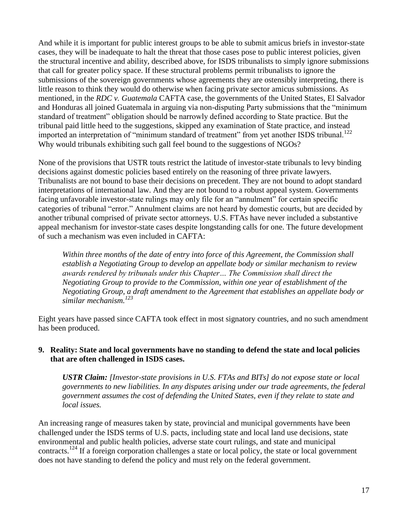And while it is important for public interest groups to be able to submit amicus briefs in investor-state cases, they will be inadequate to halt the threat that those cases pose to public interest policies, given the structural incentive and ability, described above, for ISDS tribunalists to simply ignore submissions that call for greater policy space. If these structural problems permit tribunalists to ignore the submissions of the sovereign governments whose agreements they are ostensibly interpreting, there is little reason to think they would do otherwise when facing private sector amicus submissions. As mentioned, in the *RDC v. Guatemala* CAFTA case, the governments of the United States, El Salvador and Honduras all joined Guatemala in arguing via non-disputing Party submissions that the "minimum standard of treatment" obligation should be narrowly defined according to State practice. But the tribunal paid little heed to the suggestions, skipped any examination of State practice, and instead imported an interpretation of "minimum standard of treatment" from yet another ISDS tribunal.<sup>122</sup> Why would tribunals exhibiting such gall feel bound to the suggestions of NGOs?

None of the provisions that USTR touts restrict the latitude of investor-state tribunals to levy binding decisions against domestic policies based entirely on the reasoning of three private lawyers. Tribunalists are not bound to base their decisions on precedent. They are not bound to adopt standard interpretations of international law. And they are not bound to a robust appeal system. Governments facing unfavorable investor-state rulings may only file for an "annulment" for certain specific categories of tribunal "error." Annulment claims are not heard by domestic courts, but are decided by another tribunal comprised of private sector attorneys. U.S. FTAs have never included a substantive appeal mechanism for investor-state cases despite longstanding calls for one. The future development of such a mechanism was even included in CAFTA:

*Within three months of the date of entry into force of this Agreement, the Commission shall establish a Negotiating Group to develop an appellate body or similar mechanism to review awards rendered by tribunals under this Chapter… The Commission shall direct the Negotiating Group to provide to the Commission, within one year of establishment of the Negotiating Group, a draft amendment to the Agreement that establishes an appellate body or similar mechanism.<sup>123</sup>*

Eight years have passed since CAFTA took effect in most signatory countries, and no such amendment has been produced.

# **9. Reality: State and local governments have no standing to defend the state and local policies that are often challenged in ISDS cases.**

*USTR Claim: [Investor-state provisions in U.S. FTAs and BITs] do not expose state or local governments to new liabilities. In any disputes arising under our trade agreements, the federal government assumes the cost of defending the United States, even if they relate to state and local issues.*

An increasing range of measures taken by state, provincial and municipal governments have been challenged under the ISDS terms of U.S. pacts, including state and local land use decisions, state environmental and public health policies, adverse state court rulings, and state and municipal contracts.<sup>124</sup> If a foreign corporation challenges a state or local policy, the state or local government does not have standing to defend the policy and must rely on the federal government.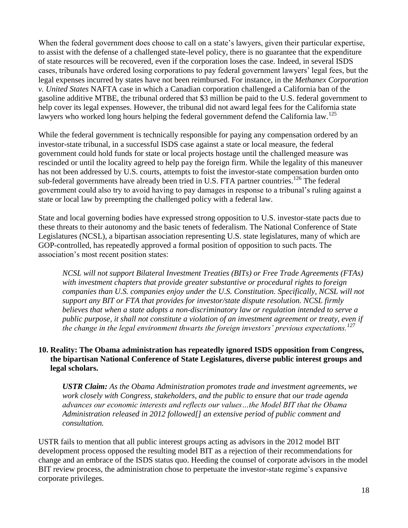When the federal government does choose to call on a state's lawyers, given their particular expertise, to assist with the defense of a challenged state-level policy, there is no guarantee that the expenditure of state resources will be recovered, even if the corporation loses the case. Indeed, in several ISDS cases, tribunals have ordered losing corporations to pay federal government lawyers' legal fees, but the legal expenses incurred by states have not been reimbursed. For instance, in the *Methanex Corporation v. United States* NAFTA case in which a Canadian corporation challenged a California ban of the gasoline additive MTBE, the tribunal ordered that \$3 million be paid to the U.S. federal government to help cover its legal expenses. However, the tribunal did not award legal fees for the California state lawyers who worked long hours helping the federal government defend the California law.<sup>125</sup>

While the federal government is technically responsible for paying any compensation ordered by an investor-state tribunal, in a successful ISDS case against a state or local measure, the federal government could hold funds for state or local projects hostage until the challenged measure was rescinded or until the locality agreed to help pay the foreign firm. While the legality of this maneuver has not been addressed by U.S. courts, attempts to foist the investor-state compensation burden onto sub-federal governments have already been tried in U.S. FTA partner countries.<sup>126</sup> The federal government could also try to avoid having to pay damages in response to a tribunal's ruling against a state or local law by preempting the challenged policy with a federal law.

State and local governing bodies have expressed strong opposition to U.S. investor-state pacts due to these threats to their autonomy and the basic tenets of federalism. The National Conference of State Legislatures (NCSL), a bipartisan association representing U.S. state legislatures, many of which are GOP-controlled, has repeatedly approved a formal position of opposition to such pacts. The association's most recent position states:

*NCSL will not support Bilateral Investment Treaties (BITs) or Free Trade Agreements (FTAs) with investment chapters that provide greater substantive or procedural rights to foreign companies than U.S. companies enjoy under the U.S. Constitution. Specifically, NCSL will not support any BIT or FTA that provides for investor/state dispute resolution. NCSL firmly believes that when a state adopts a non-discriminatory law or regulation intended to serve a public purpose, it shall not constitute a violation of an investment agreement or treaty, even if the change in the legal environment thwarts the foreign investors' previous expectations.<sup>127</sup>*

# **10. Reality: The Obama administration has repeatedly ignored ISDS opposition from Congress, the bipartisan National Conference of State Legislatures, diverse public interest groups and legal scholars.**

*USTR Claim: As the Obama Administration promotes trade and investment agreements, we work closely with Congress, stakeholders, and the public to ensure that our trade agenda advances our economic interests and reflects our values…the Model BIT that the Obama Administration released in 2012 followed[] an extensive period of public comment and consultation.*

USTR fails to mention that all public interest groups acting as advisors in the 2012 model BIT development process opposed the resulting model BIT as a rejection of their recommendations for change and an embrace of the ISDS status quo. Heeding the counsel of corporate advisors in the model BIT review process, the administration chose to perpetuate the investor-state regime's expansive corporate privileges.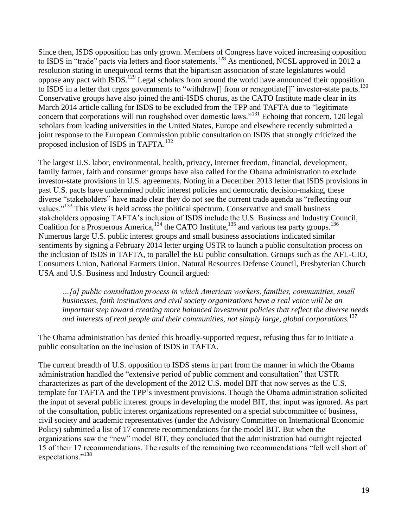Since then, ISDS opposition has only grown. Members of Congress have voiced increasing opposition to ISDS in "trade" pacts via letters and floor statements.<sup>128</sup> As mentioned, NCSL approved in 2012 a resolution stating in unequivocal terms that the bipartisan association of state legislatures would oppose any pact with ISDS.<sup>129</sup> Legal scholars from around the world have announced their opposition to ISDS in a letter that urges governments to "withdraw<sup>[]</sup> from or renegotiate<sup>[]"</sup> investor-state pacts.<sup>130</sup> Conservative groups have also joined the anti-ISDS chorus, as the CATO Institute made clear in its March 2014 article calling for ISDS to be excluded from the TPP and TAFTA due to "legitimate concern that corporations will run roughshod over domestic laws."<sup>131</sup> Echoing that concern, 120 legal scholars from leading universities in the United States, Europe and elsewhere recently submitted a joint response to the European Commission public consultation on ISDS that strongly criticized the proposed inclusion of ISDS in TAFTA.<sup>132</sup>

The largest U.S. labor, environmental, health, privacy, Internet freedom, financial, development, family farmer, faith and consumer groups have also called for the Obama administration to exclude investor-state provisions in U.S. agreements. Noting in a December 2013 letter that ISDS provisions in past U.S. pacts have undermined public interest policies and democratic decision-making, these diverse "stakeholders" have made clear they do not see the current trade agenda as "reflecting our values."<sup>133</sup> This view is held across the political spectrum. Conservative and small business stakeholders opposing TAFTA's inclusion of ISDS include the U.S. Business and Industry Council, Coalition for a Prosperous America,  $^{134}$  the CATO Institute,  $^{135}$  and various tea party groups.  $^{136}$ Numerous large U.S. public interest groups and small business associations indicated similar sentiments by signing a February 2014 letter urging USTR to launch a public consultation process on the inclusion of ISDS in TAFTA, to parallel the EU public consultation. Groups such as the AFL-CIO, Consumers Union, National Farmers Union, Natural Resources Defense Council, Presbyterian Church USA and U.S. Business and Industry Council argued:

*…[a] public consultation process in which American workers, families, communities, small businesses, faith institutions and civil society organizations have a real voice will be an important step toward creating more balanced investment policies that reflect the diverse needs and interests of real people and their communities, not simply large, global corporations.*<sup>137</sup>

The Obama administration has denied this broadly-supported request, refusing thus far to initiate a public consultation on the inclusion of ISDS in TAFTA.

The current breadth of U.S. opposition to ISDS stems in part from the manner in which the Obama administration handled the "extensive period of public comment and consultation" that USTR characterizes as part of the development of the 2012 U.S. model BIT that now serves as the U.S. template for TAFTA and the TPP's investment provisions. Though the Obama administration solicited the input of several public interest groups in developing the model BIT, that input was ignored. As part of the consultation, public interest organizations represented on a special subcommittee of business, civil society and academic representatives (under the Advisory Committee on International Economic Policy) submitted a list of 17 concrete recommendations for the model BIT. But when the organizations saw the "new" model BIT, they concluded that the administration had outright rejected 15 of their 17 recommendations. The results of the remaining two recommendations "fell well short of expectations."<sup>138</sup>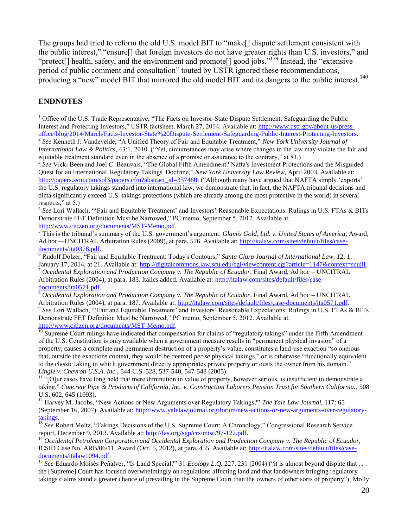The groups had tried to reform the old U.S. model BIT to "make[] dispute settlement consistent with the public interest," "ensure[] that foreign investors do not have greater rights than U.S. investors," and "protect[] health, safety, and the environment and promote[] good jobs."<sup>139</sup> Instead, the "extensive" period of public comment and consultation" touted by USTR ignored these recommendations, producing a "new" model BIT that mirrored the old model BIT and its dangers to the public interest.<sup>140</sup>

### **ENDNOTES**

 $\overline{a}$ 

 $<sup>1</sup>$  Office of the U.S. Trade Representative, "The Facts on Investor-State Dispute Settlement: Safeguarding the Public</sup> Interest and Protecting Investors," USTR factsheet, March 27, 2014. Available at: [http://www.ustr.gov/about-us/press](http://www.ustr.gov/about-us/press-office/blog/2014/March/Facts-Investor-State%20Dispute-Settlement-Safeguarding-Public-Interest-Protecting-Investors)[office/blog/2014/March/Facts-Investor-State%20Dispute-Settlement-Safeguarding-Public-Interest-Protecting-Investors.](http://www.ustr.gov/about-us/press-office/blog/2014/March/Facts-Investor-State%20Dispute-Settlement-Safeguarding-Public-Interest-Protecting-Investors) 

2 *See* Kenneth J. Vandevelde, "A Unified Theory of Fair and Equitable Treatment," *New York University Journal of International Law & Politics*, 43:1, 2010. ("Yet, circumstances may arise where changes in the law may violate the fair and equitable treatment standard even in the absence of a promise or assurance to the contrary," at 81.)

<sup>3</sup> See Vicki Been and Joel C. Beauvais, "The Global Fifth Amendment? Nafta's Investment Protections and the Misguided Quest for an International 'Regulatory Takings' Doctrine," *New York University Law Review*, April 2003. Available at: [http://papers.ssrn.com/sol3/papers.cfm?abstract\\_id=337480.](http://papers.ssrn.com/sol3/papers.cfm?abstract_id=337480) ("Although many have argued that NAFTA simply 'exports' the U.S. regulatory takings standard into international law, we demonstrate that, in fact, the NAFTA tribunal decisions and dicta significantly exceed U.S. takings protections (which are already among the most protective in the world) in several respects," at 5.)

<sup>4</sup> See Lori Wallach, "'Fair and Equitable Treatment' and Investors' Reasonable Expectations: Rulings in U.S. FTAs & BITs Demonstrate FET Definition Must be Narrowed," PC memo, September 5, 2012. Available at: [http://www.citizen.org/documents/MST-Memo.pdf.](http://www.citizen.org/documents/MST-Memo.pdf)

<sup>5</sup> This is the tribunal's summary of the U.S. government's argument. *Glamis Gold, Ltd. v. United States of America*, Award, Ad hoc—UNCITRAL Arbitration Rules (2009), at para. 576. Available at: [http://italaw.com/sites/default/files/case](http://italaw.com/sites/default/files/case-documents/ita0378.pdf)[documents/ita0378.pdf.](http://italaw.com/sites/default/files/case-documents/ita0378.pdf)

<sup>6</sup> Rudolf Dolzer, "Fair and Equitable Treatment: Today's Contours," *Santa Clara Journal of International Law*, 12: 1, January 17, 2014, at 21. Available at: [http://digitalcommons.law.scu.edu/cgi/viewcontent.cgi?article=1147&context=scujil.](http://digitalcommons.law.scu.edu/cgi/viewcontent.cgi?article=1147&context=scujil)

<sup>7</sup> *Occidental Exploration and Production Company v. The Republic of Ecuador*, Final Award, Ad hoc – UNCITRAL Arbitration Rules (2004), at para. 183. Italics added. Available at: [http://italaw.com/sites/default/files/case](http://italaw.com/sites/default/files/case-documents/ita0571.pdf)[documents/ita0571.pdf.](http://italaw.com/sites/default/files/case-documents/ita0571.pdf)

<sup>8</sup> *Occidental Exploration and Production Company v. The Republic of Ecuador*, Final Award, Ad hoc – UNCITRAL Arbitration Rules (2004), at para. 187. Available at: [http://italaw.com/sites/default/files/case-documents/ita0571.pdf.](http://italaw.com/sites/default/files/case-documents/ita0571.pdf)

<sup>9</sup> See Lori Wallach, "'Fair and Equitable Treatment' and Investors' Reasonable Expectations: Rulings in U.S. FTAs & BITs Demonstrate FET Definition Must be Narrowed," PC memo, September 5, 2012. Available at: [http://www.citizen.org/documents/MST-Memo.pdf.](http://www.citizen.org/documents/MST-Memo.pdf)

 $10$  Supreme Court rulings have indicated that compensation for claims of "regulatory takings" under the Fifth Amendment of the U.S. Constitution is only available when a government measure results in "permanent physical invasion" of a property, causes a complete and permanent destruction of a property's value, constitutes a land-use exaction "so onerous that, outside the exactions context, they would be deemed *per se* physical takings," or is otherwise "functionally equivalent to the classic taking in which government directly appropriates private property or ousts the owner from his domain." *Lingle v. Chevron U.S.A. Inc.*, 544 U.S. 528, 537-540, 547-548 (2005).

 $11$  "[O]ur cases have long held that mere diminution in value of property, however serious, is insufficient to demonstrate a taking." *Concrete Pipe & Products of California, Inc. v. Construction Laborers Pension Trust for Southern California.*, 508 U.S. 602, 645 (1993).

<sup>12</sup> Harvey M. Jacobs, "New Actions or New Arguments over Regulatory Takings?" *The Yale Law Journal*, 117: 65 (September 16, 2007). Available at: [http://www.yalelawjournal.org/forum/new-actions-or-new-arguments-over-regulatory](http://www.yalelawjournal.org/forum/new-actions-or-new-arguments-over-regulatory-takings)[takings.](http://www.yalelawjournal.org/forum/new-actions-or-new-arguments-over-regulatory-takings) 

<sup>13</sup> See Robert Meltz, "Takings Decisions of the U.S. Supreme Court: A Chronology," Congressional Research Service report, December 9, 2013. Available at: [http://fas.org/sgp/crs/misc/97-122.pdf.](http://fas.org/sgp/crs/misc/97-122.pdf)

<sup>14</sup> Occidental Petroleum Corporation and Occidental Exploration and Production Company v. The Republic of Ecuador, ICSID Case No. ARB/06/11, Award (Oct. 5, 2012), at para. 455. Available at: [http://italaw.com/sites/default/files/case](http://italaw.com/sites/default/files/case-documents/italaw1094.pdf)[documents/italaw1094.pdf.](http://italaw.com/sites/default/files/case-documents/italaw1094.pdf)

<sup>15</sup> See Eduardo Moisès Peñalver, "Is Land Special?" 31 *Ecology L.Q.* 227, 231 (2004) ("it is almost beyond dispute that . . . the [Supreme] Court has focused overwhelmingly on regulations affecting land and that landowners bringing regulatory takings claims stand a greater chance of prevailing in the Supreme Court than the owners of other sorts of property"); Molly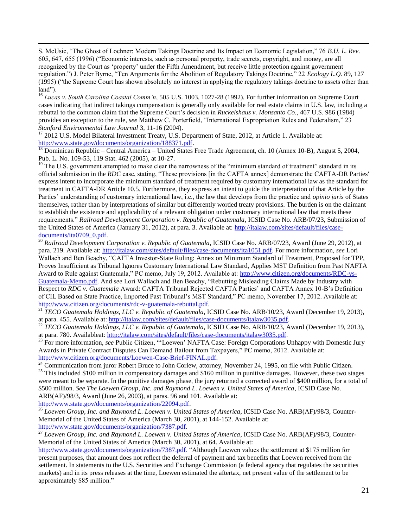S. McUsic, "The Ghost of Lochner: Modern Takings Doctrine and Its Impact on Economic Legislation," 76 *B.U. L. Rev.* 605, 647, 655 (1996) ("Economic interests, such as personal property, trade secrets, copyright, and money, are all recognized by the Court as 'property' under the Fifth Amendment, but receive little protection against government regulation.") J. Peter Byrne, "Ten Arguments for the Abolition of Regulatory Takings Doctrine," 22 *Ecology L.Q.* 89, 127 (1995) ("the Supreme Court has shown absolutely no interest in applying the regulatory takings doctrine to assets other than land").

<sup>16</sup> *Lucas v. South Carolina Coastal Comm'n*, 505 U.S. 1003, 1027-28 (1992). For further information on Supreme Court cases indicating that indirect takings compensation is generally only available for real estate claims in U.S. law, including a rebuttal to the common claim that the Supreme Court's decision in *Ruckelshaus v. Monsanto Co.*, 467 U.S. 986 (1984) provides an exception to the rule, *see* Matthew C. Porterfield, "International Expropriation Rules and Federalism," 23 *Stanford Environmental Law Journal* 3, 11-16 (2004).

<sup>17</sup> 2012 U.S. Model Bilateral Investment Treaty, U.S. Department of State, 2012, at Article 1. Available at: [http://www.state.gov/documents/organization/188371.pdf.](http://www.state.gov/documents/organization/188371.pdf)

 $\overline{a}$ 

<sup>18</sup> Dominican Republic – Central America – United States Free Trade Agreement, ch. 10 (Annex 10-B), August 5, 2004, Pub. L. No. 109-53, 119 Stat. 462 (2005), at 10-27.

 $19$  The U.S. government attempted to make clear the narrowness of the "minimum standard of treatment" standard in its official submission in the *RDC* case, stating, "These provisions [in the CAFTA annex] demonstrate the CAFTA-DR Parties' express intent to incorporate the minimum standard of treatment required by customary international law as the standard for treatment in CAFTA-DR Article 10.5. Furthermore, they express an intent to guide the interpretation of that Article by the Parties' understanding of customary international law, i.e., the law that develops from the practice and *opinio juris* of States themselves, rather than by interpretations of similar but differently worded treaty provisions. The burden is on the claimant to establish the existence and applicability of a relevant obligation under customary international law that meets these requirements." *Railroad Development Corporation v. Republic of Guatemala*, ICSID Case No. ARB/07/23, Submission of the United States of America (January 31, 2012), at para. 3. Available at: [http://italaw.com/sites/default/files/case](http://italaw.com/sites/default/files/case-documents/ita0709_0.pdf)[documents/ita0709\\_0.pdf.](http://italaw.com/sites/default/files/case-documents/ita0709_0.pdf)

<sup>20</sup> *Railroad Development Corporation v. Republic of Guatemala*, ICSID Case No. ARB/07/23, Award (June 29, 2012), at para. 219. Available at: [http://italaw.com/sites/default/files/case-documents/ita1051.pdf.](http://italaw.com/sites/default/files/case-documents/ita1051.pdf) For more information, *see* Lori Wallach and Ben Beachy, "CAFTA Investor-State Ruling: Annex on Minimum Standard of Treatment, Proposed for TPP, Proves Insufficient as Tribunal Ignores Customary International Law Standard, Applies MST Definition from Past NAFTA Award to Rule against Guatemala," PC memo, July 19, 2012. Available at: [http://www.citizen.org/documents/RDC-vs-](http://www.citizen.org/documents/RDC-vs-Guatemala-Memo.pdf)[Guatemala-Memo.pdf.](http://www.citizen.org/documents/RDC-vs-Guatemala-Memo.pdf) And *see* Lori Wallach and Ben Beachy, "Rebutting Misleading Claims Made by Industry with Respect to *RDC v. Guatemala* Award: CAFTA Tribunal Rejected CAFTA Parties' and CAFTA Annex 10-B's Definition of CIL Based on State Practice, Imported Past Tribunal's MST Standard," PC memo, November 17, 2012. Available at: [http://www.citizen.org/documents/rdc-v-guatemala-rebuttal.pdf.](http://www.citizen.org/documents/rdc-v-guatemala-rebuttal.pdf)

<sup>21</sup> *TECO Guatemala Holdings, LLC v. Republic of Guatemala*, ICSID Case No. ARB/10/23, Award (December 19, 2013), at para. 455. Available at: [http://italaw.com/sites/default/files/case-documents/italaw3035.pdf.](http://italaw.com/sites/default/files/case-documents/italaw3035.pdf)

<sup>22</sup> *TECO Guatemala Holdings, LLC v. Republic of Guatemala*, ICSID Case No. ARB/10/23, Award (December 19, 2013), at para. 780. Availableat: [http://italaw.com/sites/default/files/case-documents/italaw3035.pdf.](http://italaw.com/sites/default/files/case-documents/italaw3035.pdf)

<sup>23</sup> For more information, *see* Public Citizen, "'Loewen' NAFTA Case: Foreign Corporations Unhappy with Domestic Jury Awards in Private Contract Disputes Can Demand Bailout from Taxpayers," PC memo, 2012. Available at: [http://www.citizen.org/documents/Loewen-Case-Brief-FINAL.pdf.](http://www.citizen.org/documents/Loewen-Case-Brief-FINAL.pdf)

 $^{\overline{24}}$  Communication from juror Robert Bruce to John Corlew, attorney, November 24, 1995, on file with Public Citizen.

 $^{25}$  This included \$100 million in compensatory damages and \$160 million in punitive damages. However, these two stages were meant to be separate. In the punitive damages phase, the jury returned a corrected award of \$400 million, for a total of \$500 million. *See The Loewen Group, Inc. and Raymond L. Loewen v. United States of America*, ICSID Case No. ARB(AF)/98/3, Award (June 26, 2003), at paras. 96 and 101. Available at: [http://www.state.gov/documents/organization/22094.pdf.](http://www.state.gov/documents/organization/22094.pdf)

<sup>26</sup> Loewen Group, Inc. and Raymond L. Loewen v. United States of America, ICSID Case No. ARB(AF)/98/3, Counter-Memorial of the United States of America (March 30, 2001), at 144-152. Available at: [http://www.state.gov/documents/organization/7387.pdf.](http://www.state.gov/documents/organization/7387.pdf)

<sup>27</sup> *Loewen Group, Inc. and Raymond L. Loewen v. United States of America*, ICSID Case No. ARB(AF)/98/3, Counter-Memorial of the United States of America (March 30, 2001), at 64. Available at:

[http://www.state.gov/documents/organization/7387.pdf.](http://www.state.gov/documents/organization/7387.pdf) "Although Loewen values the settlement at \$175 million for present purposes, that amount does not reflect the deferral of payment and tax benefits that Loewen received from the settlement. In statements to the U.S. Securities and Exchange Commission (a federal agency that regulates the securities markets) and in its press releases at the time, Loewen estimated the aftertax, net present value of the settlement to be approximately \$85 million."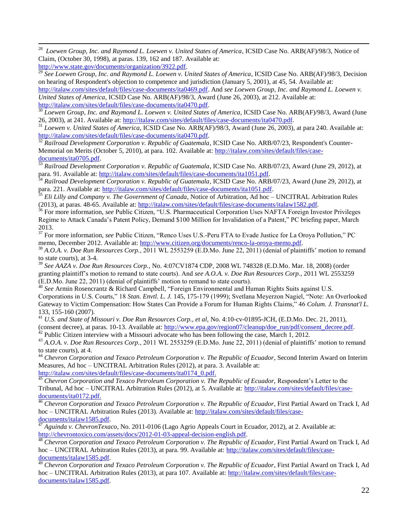<sup>28</sup> Loewen Group, Inc. and Raymond L. Loewen v. United States of America, ICSID Case No. ARB(AF)/98/3, Notice of Claim, (October 30, 1998), at paras. 139, 162 and 187. Available at: [http://www.state.gov/documents/organization/3922.pdf.](http://www.state.gov/documents/organization/3922.pdf)

<sup>29</sup> See Loewen Group, Inc. and Raymond L. Loewen v. United States of America, ICSID Case No. ARB(AF)/98/3, Decision on hearing of Respondent's objection to competence and jurisdiction (January 5, 2001), at 45, 54. Available at: [http://italaw.com/sites/default/files/case-documents/ita0469.pdf.](http://italaw.com/sites/default/files/case-documents/ita0469.pdf) And *see Loewen Group, Inc. and Raymond L. Loewen v. United States of America*, ICSID Case No. ARB(AF)/98/3, Award (June 26, 2003), at 212. Available at: [http://italaw.com/sites/default/files/case-documents/ita0470.pdf.](http://italaw.com/sites/default/files/case-documents/ita0470.pdf)

<sup>30</sup> *Loewen Group, Inc. and Raymond L. Loewen v. United States of America*, ICSID Case No. ARB(AF)/98/3, Award (June 26, 2003), at 241. Available at: [http://italaw.com/sites/default/files/case-documents/ita0470.pdf.](http://italaw.com/sites/default/files/case-documents/ita0470.pdf)

<sup>31</sup> *Loewen v. United States of America*, ICSID Case No. ARB(AF)/98/3, Award (June 26, 2003), at para 240. Available at: [http://italaw.com/sites/default/files/case-documents/ita0470.pdf.](http://italaw.com/sites/default/files/case-documents/ita0470.pdf)

<sup>32</sup> Railroad Development Corporation v. Republic of Guatemala, ICSID Case No. ARB/07/23, Respondent's Counter-Memorial on Merits (October 5, 2010), at para. 102. Available at: [http://italaw.com/sites/default/files/case](http://italaw.com/sites/default/files/case-documents/ita0705.pdf)[documents/ita0705.pdf.](http://italaw.com/sites/default/files/case-documents/ita0705.pdf)

<sup>33</sup> *Railroad Development Corporation v. Republic of Guatemala*, ICSID Case No. ARB/07/23, Award (June 29, 2012), at para. 91. Available at: [http://italaw.com/sites/default/files/case-documents/ita1051.pdf.](http://italaw.com/sites/default/files/case-documents/ita1051.pdf)

<sup>34</sup> *Railroad Development Corporation v. Republic of Guatemala*, ICSID Case No. ARB/07/23, Award (June 29, 2012), at para. 221. Available at: [http://italaw.com/sites/default/files/case-documents/ita1051.pdf.](http://italaw.com/sites/default/files/case-documents/ita1051.pdf)

<sup>35</sup> *Eli Lilly and Company v. The Government of Canada*, Notice of Arbitration, Ad hoc – UNCITRAL Arbitration Rules (2013), at paras. 48-65. Available at: [http://italaw.com/sites/default/files/case-documents/italaw1582.pdf.](http://italaw.com/sites/default/files/case-documents/italaw1582.pdf)

<sup>36</sup> For more information, *see* Public Citizen, "U.S. Pharmaceutical Corporation Uses NAFTA Foreign Investor Privileges Regime to Attack Canada's Patent Policy, Demand \$100 Million for Invalidation of a Patent," PC briefing paper, March 2013.

<sup>37</sup> For more information, *see* Public Citizen, "Renco Uses U.S.-Peru FTA to Evade Justice for La Oroya Pollution," PC memo, December 2012. Available at: http://www.citizen.org/documents/renco-la-oroya-memo.pdf.

<sup>38</sup> *A.O.A. v. Doe Run Resources Corp.*, 2011 WL 2553259 (E.D.Mo. June 22, 2011) (denial of plaintiffs' motion to remand to state courts), at 3-4.

<sup>39</sup> *See AAZA v. Doe Run Resources Corp.*, No. 4:07CV1874 CDP, 2008 WL 748328 (E.D.Mo. Mar. 18, 2008) (order granting plaintiff's motion to remand to state courts). And *see A.O.A. v. Doe Run Resources Corp.*, 2011 WL 2553259 (E.D.Mo. June 22, 2011) (denial of plaintiffs' motion to remand to state courts).

<sup>40</sup> *See* Armin Rosencrantz & Richard Campbell, "Foreign Environmental and Human Rights Suits against U.S. Corporations in U.S. Courts," 18 *Stan. Envtl. L. J.* 145, 175-179 (1999); Svetlana Meyerzon Nagiel, "Note: An Overlooked Gateway to Victim Compensation: How States Can Provide a Forum for Human Rights Claims," 46 *Colum. J. Transnat'l L.* 133, 155-160 (2007).

<sup>41</sup> *U.S. and State of Missouri v. Doe Run Resources Corp., et al,* No. 4:10-cv-01895-JCH, (E.D.Mo. Dec. 21, 2011), (consent decree), at paras. 10-13. Available at: [http://www.epa.gov/region07/cleanup/doe\\_run/pdf/consent\\_decree.pdf.](http://www.epa.gov/region07/cleanup/doe_run/pdf/consent_decree.pdf)

 $42$  Public Citizen interview with a Missouri advocate who has been following the case, March 1, 2012.

<sup>43</sup> A.O.A. v. Doe Run Resources Corp., 2011 WL 2553259 (E.D.Mo. June 22, 2011) (denial of plaintiffs' motion to remand to state courts), at 4.

<sup>44</sup> Chevron Corporation and Texaco Petroleum Corporation v. The Republic of Ecuador, Second Interim Award on Interim Measures, Ad hoc – UNCITRAL Arbitration Rules (2012), at para. 3. Available at:

[http://italaw.com/sites/default/files/case-documents/ita0174\\_0.pdf.](http://italaw.com/sites/default/files/case-documents/ita0174_0.pdf)

<sup>45</sup> Chevron Corporation and Texaco Petroleum Corporation v. The Republic of Ecuador, Respondent's Letter to the Tribunal, Ad hoc – UNCITRAL Arbitration Rules (2012), at 5. Available at: [http://italaw.com/sites/default/files/case](http://italaw.com/sites/default/files/case-documents/ita0172.pdf)[documents/ita0172.pdf.](http://italaw.com/sites/default/files/case-documents/ita0172.pdf)

<sup>46</sup> Chevron Corporation and Texaco Petroleum Corporation v. The Republic of Ecuador, First Partial Award on Track I, Ad hoc – UNCITRAL Arbitration Rules (2013). Available at: [http://italaw.com/sites/default/files/case-](http://italaw.com/sites/default/files/case-documents/italaw1585.pdf) $\frac{d}{}$  [documents/italaw1585.pdf.](http://italaw.com/sites/default/files/case-documents/italaw1585.pdf)

<sup>47</sup> *Aguinda v. ChevronTexaco*, No. 2011-0106 (Lago Agrio Appeals Court in Ecuador, 2012), at 2. Available at: [http://chevrontoxico.com/assets/docs/2012-01-03-appeal-decision-english.pdf.](http://chevrontoxico.com/assets/docs/2012-01-03-appeal-decision-english.pdf)

<sup>48</sup> Chevron Corporation and Texaco Petroleum Corporation v. The Republic of Ecuador, First Partial Award on Track I, Ad hoc – UNCITRAL Arbitration Rules (2013), at para. 99. Available at: [http://italaw.com/sites/default/files/case](http://italaw.com/sites/default/files/case-documents/italaw1585.pdf)[documents/italaw1585.pdf.](http://italaw.com/sites/default/files/case-documents/italaw1585.pdf)

<sup>49</sup> Chevron Corporation and Texaco Petroleum Corporation v. The Republic of Ecuador, First Partial Award on Track I, Ad hoc – UNCITRAL Arbitration Rules (2013), at para 107. Available at: [http://italaw.com/sites/default/files/case](http://italaw.com/sites/default/files/case-documents/italaw1585.pdf)[documents/italaw1585.pdf.](http://italaw.com/sites/default/files/case-documents/italaw1585.pdf)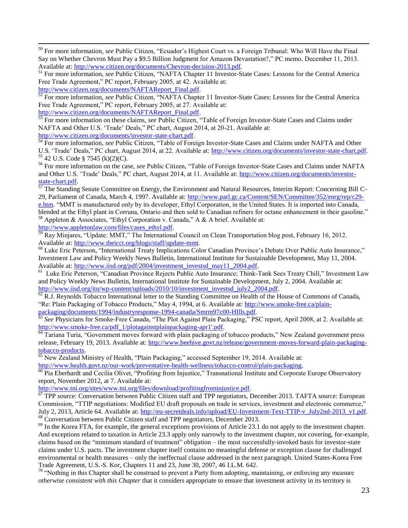<sup>50</sup> For more information, *see* Public Citizen, "Ecuador's Highest Court vs. a Foreign Tribunal: Who Will Have the Final Say on Whether Chevron Must Pay a \$9.5 Billion Judgment for Amazon Devastation?," PC memo, December 11, 2013. Available at: [http://www.citizen.org/documents/Chevron-decision-2013.pdf.](http://www.citizen.org/documents/Chevron-decision-2013.pdf)

<sup>51</sup> For more information, *see* Public Citizen, "NAFTA Chapter 11 Investor-State Cases: Lessons for the Central America Free Trade Agreement," PC report, February 2005, at 42. Available at:

[http://www.citizen.org/documents/NAFTAReport\\_Final.pdf.](http://www.citizen.org/documents/NAFTAReport_Final.pdf)

 $\overline{a}$ 

<sup>52</sup> For more information, *see* Public Citizen, "NAFTA Chapter 11 Investor-State Cases: Lessons for the Central America Free Trade Agreement," PC report, February 2005, at 27. Available at: [http://www.citizen.org/documents/NAFTAReport\\_Final.pdf.](http://www.citizen.org/documents/NAFTAReport_Final.pdf)

<sup>53</sup> For more information on these claims, *see* Public Citizen, "Table of Foreign Investor-State Cases and Claims under NAFTA and Other U.S. 'Trade' Deals," PC chart, August 2014, at 20-21. Available at: [http://www.citizen.org/documents/investor-state-chart.pdf.](http://www.citizen.org/documents/investor-state-chart.pdf)

<sup>54</sup> For more information, *see* Public Citizen, "Table of Foreign Investor-State Cases and Claims under NAFTA and Other U.S. 'Trade' Deals," PC chart, August 2014, at 22. Available at: [http://www.citizen.org/documents/investor-state-chart.pdf.](http://www.citizen.org/documents/investor-state-chart.pdf)  $55$  42 U.S. Code § 7545 (k)(2)(C).

<sup>56</sup> For more information on the case, *see* Public Citizen, "Table of Foreign Investor-State Cases and Claims under NAFTA and Other U.S. 'Trade' Deals," PC chart, August 2014, at 11. Available at: [http://www.citizen.org/documents/investor](http://www.citizen.org/documents/investor-state-chart.pdf)[state-chart.pdf.](http://www.citizen.org/documents/investor-state-chart.pdf)

 $57$  The Standing Senate Committee on Energy, the Environment and Natural Resources, Interim Report: Concerning Bill C-29, Parliament of Canada, March 4, 1997. Available at: [http://www.parl.gc.ca/Content/SEN/Committee/352/enrg/rep/c29](http://www.parl.gc.ca/Content/SEN/Committee/352/enrg/rep/c29-e.htm) [e.htm.](http://www.parl.gc.ca/Content/SEN/Committee/352/enrg/rep/c29-e.htm) "MMT is manufactured only by its developer, Ethyl Corporation, in the United States. It is imported into Canada, blended at the Ethyl plant in Corruna, Ontario and then sold to Canadian refiners for octane enhancement in their gasoline." <sup>58</sup> Appleton & Associates, "Ethyl Corporation v. Canada," A & A brief. Available at:

[http://www.appletonlaw.com/files/cases\\_ethyl.pdf.](http://www.appletonlaw.com/files/cases_ethyl.pdf)

 $\frac{1}{59}$  Ray Minjares, "Update: MMT," The International Council on Clean Transportation blog post, February 16, 2012. Available at: [http://www.theicct.org/blogs/staff/update-mmt.](http://www.theicct.org/blogs/staff/update-mmt)

<sup>60</sup> Luke Eric Peterson, "International Treaty Implications Color Canadian Province's Debate Over Public Auto Insurance," Investment Law and Policy Weekly News Bulletin, International Institute for Sustainable Development, May 11, 2004. Available at: [http://www.iisd.org/pdf/2004/investment\\_investsd\\_may11\\_2004.pdf.](http://www.iisd.org/pdf/2004/investment_investsd_may11_2004.pdf)

<sup>61</sup> Luke Eric Peterson, "Canadian Province Rejects Public Auto Insurance; Think-Tank Sees Treaty Chill," Investment Law and Policy Weekly News Bulletin, International Institute for Sustainable Development, July 2, 2004. Available at: http://www.iisd.org/itn/wp-content/uploads/2010/10/investment\_investsd\_july2\_2004.pdf.

 $\overline{62}$  R.J. Reynolds Tobacco International letter to the Standing Committee on Health of the House of Commons of Canada, "Re: Plain Packaging of Tobacco Products," May 4, 1994, at 6. Available at: [http://www.smoke-free.ca/plain](http://www.smoke-free.ca/plain-packaging/documents/1994/industryresponse-1994-canada/Smrm97c00-HIlls.pdf)[packaging/documents/1994/industryresponse-1994-canada/Smrm97c00-HIlls.pdf.](http://www.smoke-free.ca/plain-packaging/documents/1994/industryresponse-1994-canada/Smrm97c00-HIlls.pdf) 

<sup>63</sup> See Physicians for Smoke-Free Canada, "The Plot Against Plain Packaging," PSC report, April 2008, at 2. Available at: [http://www.smoke-free.ca/pdf\\_1/plotagainstplainpackaging-apr1'.pdf.](http://www.smoke-free.ca/pdf_1/plotagainstplainpackaging-apr1)

<sup>64</sup> Tariana Turia, "Government moves forward with plain packaging of tobacco products," New Zealand government press release, February 19, 2013. Available at: [http://www.beehive.govt.nz/release/government-moves-forward-plain-packaging](http://www.beehive.govt.nz/release/government-moves-forward-plain-packaging-tobacco-products)[tobacco-products.](http://www.beehive.govt.nz/release/government-moves-forward-plain-packaging-tobacco-products)

<sup>65</sup> New Zealand Ministry of Health, "Plain Packaging," accessed September 19, 2014. Available at:

[http://www.health.govt.nz/our-work/preventative-health-wellness/tobacco-control/plain-packaging.](http://www.health.govt.nz/our-work/preventative-health-wellness/tobacco-control/plain-packaging)

<sup>66</sup> Pia Eberhardt and Cecilia Olivet, "Profiting from Injustice," Transnational Institute and Corporate Europe Observatory report, November 2012, at 7. Available at:

[http://www.tni.org/sites/www.tni.org/files/download/profitingfrominjustice.pdf.](http://www.tni.org/sites/www.tni.org/files/download/profitingfrominjustice.pdf)

 $\overline{67}$  TPP source: Conversation between Public Citizen staff and TPP negotiators, December 2013. TAFTA source: European Commission, "TTIP negotiations: Modified EU draft proposals on trade in services, investment and electronic commerce," July 2, 2013, Article 64. Available at: [http://eu-secretdeals.info/upload/EU-Investment-Text-TTIP-v\\_July2nd-2013\\_v1.pdf.](http://eu-secretdeals.info/upload/EU-Investment-Text-TTIP-v_July2nd-2013_v1.pdf)  $68$  Conversation between Public Citizen staff and TPP negotiators, December 2013.

 $69$  In the Korea FTA, for example, the general exceptions provisions of Article 23.1 do not apply to the investment chapter. And exceptions related to taxation in Article 23.3 apply only narrowly to the investment chapter, not covering, for-example, claims based on the "minimum standard of treatment" obligation – the most successfully-invoked basis for investor-state claims under U.S. pacts. The investment chapter itself contains no meaningful defense or exception clause for challenged environmental or health measures – only the ineffectual clause addressed in the next paragraph. United States-Korea Free Trade Agreement, U.S.-S. Kor, Chapters 11 and 23, June 30, 2007, 46 I.L.M. 642.

 $70$  "Nothing in this Chapter shall be construed to prevent a Party from adopting, maintaining, or enforcing any measure *otherwise consistent with this Chapter* that it considers appropriate to ensure that investment activity in its territory is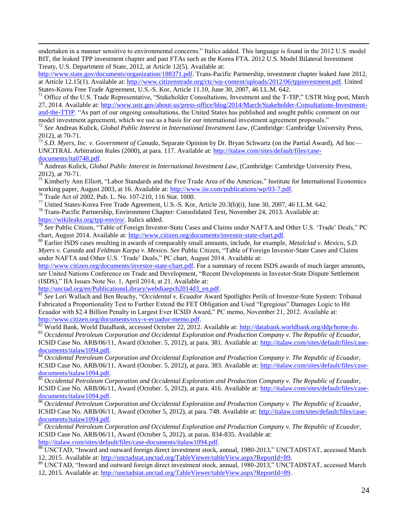undertaken in a manner sensitive to environmental concerns." Italics added. This language is found in the 2012 U.S. model BIT, the leaked TPP investment chapter and past FTAs such as the Korea FTA. 2012 U.S. Model Bilateral Investment Treaty, U.S. Department of State, 2012, at Article 12(5). Available at:

[http://www.state.gov/documents/organization/188371.pdf.](http://www.state.gov/documents/organization/188371.pdf) Trans-Pacific Partnership, investment chapter leaked June 2012, at Article 12.15(1). Available at: [http://www.citizenstrade.org/ctc/wp-content/uploads/2012/06/tppinvestment.pdf.](http://www.citizenstrade.org/ctc/wp-content/uploads/2012/06/tppinvestment.pdf) United States-Korea Free Trade Agreement, U.S.-S. Kor, Article 11.10, June 30, 2007, 46 I.L.M. 642.

<sup>71</sup> Office of the U.S. Trade Representative, "Stakeholder Consultations, Investment and the T-TIP," USTR blog post, March 27, 2014. Available at: [http://www.ustr.gov/about-us/press-office/blog/2014/March/Stakeholder-Consultations-Investment](http://www.ustr.gov/about-us/press-office/blog/2014/March/Stakeholder-Consultations-Investment-and-the-TTIP)[and-the-TTIP.](http://www.ustr.gov/about-us/press-office/blog/2014/March/Stakeholder-Consultations-Investment-and-the-TTIP) "As part of our ongoing consultations, the United States has published and sought public comment on our

model investment agreement, which we use as a basis for our international investment agreement proposals."

<sup>72</sup> *See* Andreas Kulick, *Global Public Interest in International Investment Law*, (Cambridge: Cambridge University Press, 2012), at 70-71.

<sup>73</sup> *S.D. Myers, Inc. v. Government of Canada*, Separate Opinion by Dr. Bryan Schwartz (on the Partial Award), Ad hoc— UNCITRAL Arbitration Rules (2000), at para. 117. Available at: [http://italaw.com/sites/default/files/case](http://italaw.com/sites/default/files/case-documents/ita0748.pdf)[documents/ita0748.pdf.](http://italaw.com/sites/default/files/case-documents/ita0748.pdf)

<sup>74</sup> Andreas Kulick, *Global Public Interest in International Investment Law*, (Cambridge: Cambridge University Press, 2012), at 70-71.

<sup>75</sup> Kimberly Ann Elliott, "Labor Standards and the Free Trade Area of the Americas," Institute for International Economics working paper, August 2003, at 16. Available at: [http://www.iie.com/publications/wp/03-7.pdf.](http://www.iie.com/publications/wp/03-7.pdf)

<sup>76</sup> Trade Act of 2002, Pub. L. No. 107-210, 116 Stat. 1000.

 $\overline{a}$ 

<sup>77</sup> United States-Korea Free Trade Agreement, U.S.-S. Kor, Article 20.3(b)(i), June 30, 2007, 46 I.L.M. 642.

<sup>78</sup> Trans-Pacific Partnership, Environment Chapter: Consolidated Text, November 24, 2013. Available at: [https://wikileaks.org/tpp-enviro/.](https://wikileaks.org/tpp-enviro/) Italics added.

<sup>79</sup> See Public Citizen, "Table of Foreign Investor-State Cases and Claims under NAFTA and Other U.S. 'Trade' Deals," PC chart, August 2014. Available at: [http://www.citizen.org/documents/investor-state-chart.pdf.](http://www.citizen.org/documents/investor-state-chart.pdf)

<sup>80</sup> Earlier ISDS cases resulting in awards of comparably small amounts, include, for example, *Metalclad v. Mexico*, *S.D. Myers v. Canada* and *Feldman Karpa v. Mexico*. *See* Public Citizen, "Table of Foreign Investor-State Cases and Claims under NAFTA and Other U.S. 'Trade' Deals," PC chart, August 2014. Available at:

[http://www.citizen.org/documents/investor-state-chart.pdf.](http://www.citizen.org/documents/investor-state-chart.pdf) For a summary of recent ISDS awards of much larger amounts, *see* United Nations Conference on Trade and Development, "Recent Developments in Investor-State Dispute Settlement (ISDS)," IIA Issues Note No. 1, April 2014, at 21. Available at:

[http://unctad.org/en/PublicationsLibrary/webdiaepcb2014d3\\_en.pdf.](http://unctad.org/en/PublicationsLibrary/webdiaepcb2014d3_en.pdf)

<sup>81</sup> *See* Lori Wallach and Ben Beachy, "*Occidental v. Ecuador* Award Spotlights Perils of Investor-State System: Tribunal Fabricated a Proportionality Test to Further Extend the FET Obligation and Used "Egregious" Damages Logic to Hit Ecuador with \$2.4 Billion Penalty in Largest Ever ICSID Award," PC memo, November 21, 2012. Available at: [http://www.citizen.org/documents/oxy-v-ecuador-memo.pdf.](http://www.citizen.org/documents/oxy-v-ecuador-memo.pdf)

 $82$  World Bank, World DataBank, accessed October 22, 2012. Available at: [http://databank.worldbank.org/ddp/home.do.](http://databank.worldbank.org/ddp/home.do)

<sup>83</sup> *Occidental Petroleum Corporation and Occidental Exploration and Production Company v. The Republic of Ecuador,*  ICSID Case No. ARB/06/11, Award (October. 5, 2012), at para. 381. Available at: [http://italaw.com/sites/default/files/case-](http://italaw.com/sites/default/files/case-documents/italaw1094.pdf)

[documents/italaw1094.pdf.](http://italaw.com/sites/default/files/case-documents/italaw1094.pdf)

<sup>84</sup> *Occidental Petroleum Corporation and Occidental Exploration and Production Company v. The Republic of Ecuador,*  ICSID Case No. ARB/06/11, Award (October. 5, 2012), at para. 383. Available at: [http://italaw.com/sites/default/files/case](http://italaw.com/sites/default/files/case-documents/italaw1094.pdf)[documents/italaw1094.pdf.](http://italaw.com/sites/default/files/case-documents/italaw1094.pdf)

<sup>85</sup> *Occidental Petroleum Corporation and Occidental Exploration and Production Company v. The Republic of Ecuador,*  ICSID Case No. ARB/06/11, Award (October. 5, 2012), at para. 416. Available at: [http://italaw.com/sites/default/files/case](http://italaw.com/sites/default/files/case-documents/italaw1094.pdf)[documents/italaw1094.pdf.](http://italaw.com/sites/default/files/case-documents/italaw1094.pdf)

<sup>86</sup> *Occidental Petroleum Corporation and Occidental Exploration and Production Company v. The Republic of Ecuador*, ICSID Case No. ARB/06/11, Award (October 5, 2012), at para. 748. Available at: [http://italaw.com/sites/default/files/case-](http://italaw.com/sites/default/files/case-documents/italaw1094.pdf) $\frac{documents/italaw1094.pdf}{%{q}}$ 

<sup>87</sup> *Occidental Petroleum Corporation and Occidental Exploration and Production Company v. The Republic of Ecuador*, ICSID Case No. ARB/06/11, Award (October 5, 2012), at paras. 834-835. Available at: [http://italaw.com/sites/default/files/case-documents/italaw1094.pdf.](http://italaw.com/sites/default/files/case-documents/italaw1094.pdf)

<sup>88</sup> UNCTAD, "Inward and outward foreign direct investment stock, annual, 1980-2013," UNCTADSTAT, accessed March 12, 2015. Available at: [http://unctadstat.unctad.org/TableViewer/tableView.aspx?ReportId=89.](http://unctadstat.unctad.org/TableViewer/tableView.aspx?ReportId=89)

<sup>89</sup> UNCTAD, "Inward and outward foreign direct investment stock, annual, 1980-2013," UNCTADSTAT, accessed March 12, 2015. Available at: [http://unctadstat.unctad.org/TableViewer/tableView.aspx?ReportId=89.](http://unctadstat.unctad.org/TableViewer/tableView.aspx?ReportId=89)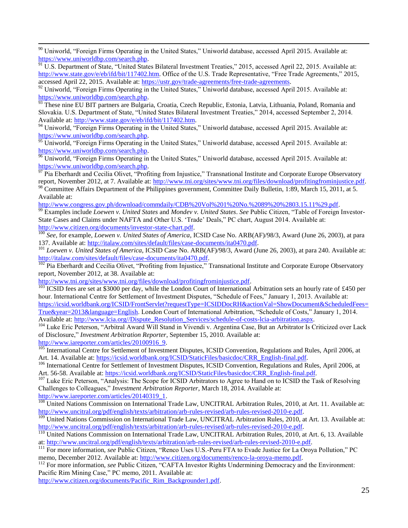<sup>90</sup> Uniworld, "Foreign Firms Operating in the United States," Uniworld database, accessed April 2015. Available at: [https://www.uniworldbp.com/search.php.](https://www.uniworldbp.com/search.php)

<sup>91</sup> U.S. Department of State, "United States Bilateral Investment Treaties," 2015, accessed April 22, 2015. Available at: [http://www.state.gov/e/eb/ifd/bit/117402.htm.](http://www.state.gov/e/eb/ifd/bit/117402.htm) Office of the U.S. Trade Representative, "Free Trade Agreements," 2015, accessed April 22, 2015. Available at: [https://ustr.gov/trade-agreements/free-trade-agreements.](https://ustr.gov/trade-agreements/free-trade-agreements)

<sup>92</sup> Uniworld, "Foreign Firms Operating in the United States," Uniworld database, accessed April 2015. Available at: [https://www.uniworldbp.com/search.php.](https://www.uniworldbp.com/search.php)

93 These nine EU BIT partners are Bulgaria, Croatia, Czech Republic, Estonia, Latvia, Lithuania, Poland, Romania and Slovakia. U.S. Department of State, "United States Bilateral Investment Treaties," 2014, accessed September 2, 2014. Available at: [http://www.state.gov/e/eb/ifd/bit/117402.htm.](http://www.state.gov/e/eb/ifd/bit/117402.htm)

<sup>94</sup> Uniworld, "Foreign Firms Operating in the United States," Uniworld database, accessed April 2015. Available at: [https://www.uniworldbp.com/search.php.](https://www.uniworldbp.com/search.php)

 $\frac{95}{95}$  Uniworld, "Foreign Firms Operating in the United States," Uniworld database, accessed April 2015. Available at: [https://www.uniworldbp.com/search.php.](https://www.uniworldbp.com/search.php)

<sup>96</sup> Uniworld, "Foreign Firms Operating in the United States," Uniworld database, accessed April 2015. Available at: [https://www.uniworldbp.com/search.php.](https://www.uniworldbp.com/search.php)<br> $\frac{1}{97}$  Die Eberkseit in the search of the search.php.

<sup>P</sup> Pia Eberhardt and Cecilia Olivet, "Profiting from Injustice," Transnational Institute and Corporate Europe Observatory report, November 2012, at 7. Available at: [http://www.tni.org/sites/www.tni.org/files/download/profitingfrominjustice.pdf.](http://www.tni.org/sites/www.tni.org/files/download/profitingfrominjustice.pdf)

<sup>98</sup> Committee Affairs Department of the Philippines government, Committee Daily Bulletin, 1:89, March 15, 2011, at 5. Available at:

[http://www.congress.gov.ph/download/commdaily/CDB%20Vol%201%20No.%2089%20%2803.15.11%29.pdf.](http://www.congress.gov.ph/download/commdaily/CDB%20Vol%201%20No.%2089%20%2803.15.11%29.pdf)

<sup>99</sup> Examples include *Loewen v. United States* and *Mondev v. United States*. *See* Public Citizen, "Table of Foreign Investor-State Cases and Claims under NAFTA and Other U.S. 'Trade' Deals," PC chart, August 2014. Available at: [http://www.citizen.org/documents/investor-state-chart.pdf.](http://www.citizen.org/documents/investor-state-chart.pdf)

<sup>100</sup> *See*, for example, *Loewen v. United States of America*, ICSID Case No. ARB(AF)/98/3, Award (June 26, 2003), at para 137. Available at: [http://italaw.com/sites/default/files/case-documents/ita0470.pdf.](http://italaw.com/sites/default/files/case-documents/ita0470.pdf)

<sup>101</sup> *Loewen v. United States of America*, ICSID Case No. ARB(AF)/98/3, Award (June 26, 2003), at para 240. Available at: [http://italaw.com/sites/default/files/case-documents/ita0470.pdf.](http://italaw.com/sites/default/files/case-documents/ita0470.pdf)

 $102$  Pia Eberhardt and Cecilia Olivet, "Profiting from Injustice," Transnational Institute and Corporate Europe Observatory report, November 2012, at 38. Available at:

[http://www.tni.org/sites/www.tni.org/files/download/profitingfrominjustice.pdf.](http://www.tni.org/sites/www.tni.org/files/download/profitingfrominjustice.pdf)

 $\overline{a}$ 

<sup>103</sup> ICSID fees are set at \$3000 per day, while the London Court of International Arbitration sets an hourly rate of £450 per hour. International Centre for Settlement of Investment Disputes, "Schedule of Fees," January 1, 2013. Available at: [https://icsid.worldbank.org/ICSID/FrontServlet?requestType=ICSIDDocRH&actionVal=ShowDocument&ScheduledFees=](https://icsid.worldbank.org/ICSID/FrontServlet?requestType=ICSIDDocRH&actionVal=ShowDocument&ScheduledFees=True&year=2013&language=English)

[True&year=2013&language=English.](https://icsid.worldbank.org/ICSID/FrontServlet?requestType=ICSIDDocRH&actionVal=ShowDocument&ScheduledFees=True&year=2013&language=English) London Court of International Arbitration, "Schedule of Costs," January 1, 2014. Available at: [http://www.lcia.org//Dispute\\_Resolution\\_Services/schedule-of-costs-lcia-arbitration.aspx.](http://www.lcia.org/Dispute_Resolution_Services/schedule-of-costs-lcia-arbitration.aspx)

<sup>104</sup> Luke Eric Peterson, "Arbitral Award Will Stand in Vivendi v. Argentina Case, But an Arbitrator Is Criticized over Lack of Disclosure," *Investment Arbitration Reporter*, September 15, 2010. Available at: [http://www.iareporter.com/articles/20100916\\_9.](http://www.iareporter.com/articles/20100916_9)

<sup>105</sup> International Centre for Settlement of Investment Disputes, ICSID Convention, Regulations and Rules, April 2006, at Art. 14. Available at: [https://icsid.worldbank.org/ICSID/StaticFiles/basicdoc/CRR\\_English-final.pdf.](https://icsid.worldbank.org/ICSID/StaticFiles/basicdoc/CRR_English-final.pdf)

<sup>106</sup> International Centre for Settlement of Investment Disputes, ICSID Convention, Regulations and Rules, April 2006, at Art. 56-58. Available at: [https://icsid.worldbank.org/ICSID/StaticFiles/basicdoc/CRR\\_English-final.pdf.](https://icsid.worldbank.org/ICSID/StaticFiles/basicdoc/CRR_English-final.pdf)

<sup>107</sup> Luke Eric Peterson, "Analysis: The Scope for ICSID Arbitrators to Agree to Hand on to ICSID the Task of Resolving Challenges to Colleagues," *Investment Arbitration Reporter*, March 18, 2014. Available at: [http://www.iareporter.com/articles/20140319\\_1.](http://www.iareporter.com/articles/20140319_1)

<sup>108</sup> United Nations Commission on International Trade Law, UNCITRAL Arbitration Rules, 2010, at Art. 11. Available at: [http://www.uncitral.org/pdf/english/texts/arbitration/arb-rules-revised/arb-rules-revised-2010-e.pdf.](http://www.uncitral.org/pdf/english/texts/arbitration/arb-rules-revised/arb-rules-revised-2010-e.pdf)

<sup>109</sup> United Nations Commission on International Trade Law, UNCITRAL Arbitration Rules, 2010, at Art. 13. Available at: [http://www.uncitral.org/pdf/english/texts/arbitration/arb-rules-revised/arb-rules-revised-2010-e.pdf.](http://www.uncitral.org/pdf/english/texts/arbitration/arb-rules-revised/arb-rules-revised-2010-e.pdf)

<sup>110</sup> United Nations Commission on International Trade Law, UNCITRAL Arbitration Rules, 2010, at Art. 6, 13. Available at: [http://www.uncitral.org/pdf/english/texts/arbitration/arb-rules-revised/arb-rules-revised-2010-e.pdf.](http://www.uncitral.org/pdf/english/texts/arbitration/arb-rules-revised/arb-rules-revised-2010-e.pdf)

<sup>111</sup> For more information, *see* Public Citizen, "Renco Uses U.S.-Peru FTA to Evade Justice for La Oroya Pollution," PC memo, December 2012. Available at: [http://www.citizen.org/documents/renco-la-oroya-memo.pdf.](http://www.citizen.org/documents/renco-la-oroya-memo.pdf) 

<sup>112</sup> For more information, *see* Public Citizen, "CAFTA Investor Rights Undermining Democracy and the Environment: Pacific Rim Mining Case," PC memo, 2011. Available at:

[http://www.citizen.org/documents/Pacific\\_Rim\\_Backgrounder1.pdf.](http://www.citizen.org/documents/Pacific_Rim_Backgrounder1.pdf)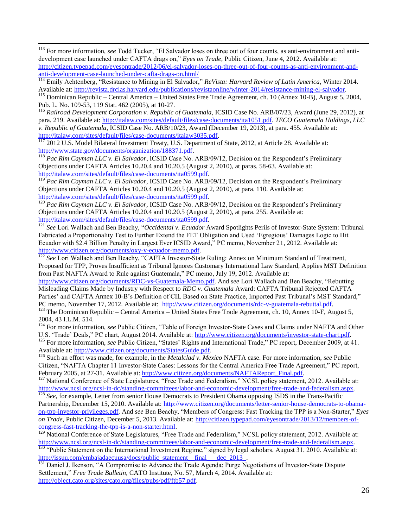<sup>113</sup> For more information, *see* Todd Tucker, "El Salvador loses on three out of four counts, as anti-environment and antidevelopment case launched under CAFTA drags on," *Eyes on Trade*, Public Citizen, June 4, 2012. Available at: [http://citizen.typepad.com/eyesontrade/2012/06/el-salvador-loses-on-three-out-of-four-counts-as-anti-environment-and](http://citizen.typepad.com/eyesontrade/2012/06/el-salvador-loses-on-three-out-of-four-counts-as-anti-environment-and-anti-development-case-launched-under-cafta-drags-on.html/)[anti-development-case-launched-under-cafta-drags-on.html/](http://citizen.typepad.com/eyesontrade/2012/06/el-salvador-loses-on-three-out-of-four-counts-as-anti-environment-and-anti-development-case-launched-under-cafta-drags-on.html/)

 $\overline{a}$ 

<sup>114</sup> Emily Achtenberg, "Resistance to Mining in El Salvador," *ReVista: Harvard Review of Latin America*, Winter 2014. Available at: [http://revista.drclas.harvard.edu/publications/revistaonline/winter-2014/resistance-mining-el-salvador.](http://revista.drclas.harvard.edu/publications/revistaonline/winter-2014/resistance-mining-el-salvador)

<sup>115</sup> Dominican Republic – Central America – United States Free Trade Agreement, ch. 10 (Annex 10-B), August 5, 2004, Pub. L. No. 109-53, 119 Stat. 462 (2005), at 10-27.

<sup>116</sup> *Railroad Development Corporation v. Republic of Guatemala*, ICSID Case No. ARB/07/23, Award (June 29, 2012), at para. 219. Available at: [http://italaw.com/sites/default/files/case-documents/ita1051.pdf.](http://italaw.com/sites/default/files/case-documents/ita1051.pdf) *TECO Guatemala Holdings, LLC v. Republic of Guatemala*, ICSID Case No. ARB/10/23, Award (December 19, 2013), at para. 455. Available at: [http://italaw.com/sites/default/files/case-documents/italaw3035.pdf.](http://italaw.com/sites/default/files/case-documents/italaw3035.pdf)

<sup>117</sup> 2012 U.S. Model Bilateral Investment Treaty, U.S. Department of State, 2012, at Article 28. Available at: [http://www.state.gov/documents/organization/188371.pdf.](http://www.state.gov/documents/organization/188371.pdf)

<sup>118</sup> *Pac Rim Cayman LLC v. El Salvador*, ICSID Case No. ARB/09/12, Decision on the Respondent's Preliminary Objections under CAFTA Articles 10.20.4 and 10.20.5 (August 2, 2010), at paras. 58-63. Available at: [http://italaw.com/sites/default/files/case-documents/ita0599.pdf.](http://italaw.com/sites/default/files/case-documents/ita0599.pdf)

<sup>119</sup> *Pac Rim Cayman LLC v. El Salvador*, ICSID Case No. ARB/09/12, Decision on the Respondent's Preliminary Objections under CAFTA Articles 10.20.4 and 10.20.5 (August 2, 2010), at para. 110. Available at: [http://italaw.com/sites/default/files/case-documents/ita0599.pdf.](http://italaw.com/sites/default/files/case-documents/ita0599.pdf)

<sup>120</sup> *Pac Rim Cayman LLC v. El Salvador*, ICSID Case No. ARB/09/12, Decision on the Respondent's Preliminary Objections under CAFTA Articles 10.20.4 and 10.20.5 (August 2, 2010), at para. 255. Available at: [http://italaw.com/sites/default/files/case-documents/ita0599.pdf.](http://italaw.com/sites/default/files/case-documents/ita0599.pdf)

<sup>121</sup> *See* Lori Wallach and Ben Beachy, "*Occidental v. Ecuador* Award Spotlights Perils of Investor-State System: Tribunal Fabricated a Proportionality Test to Further Extend the FET Obligation and Used 'Egregious' Damages Logic to Hit Ecuador with \$2.4 Billion Penalty in Largest Ever ICSID Award," PC memo, November 21, 2012. Available at: [http://www.citizen.org/documents/oxy-v-ecuador-memo.pdf.](http://www.citizen.org/documents/oxy-v-ecuador-memo.pdf)

<sup>122</sup> See Lori Wallach and Ben Beachy, "CAFTA Investor-State Ruling: Annex on Minimum Standard of Treatment, Proposed for TPP, Proves Insufficient as Tribunal Ignores Customary International Law Standard, Applies MST Definition from Past NAFTA Award to Rule against Guatemala," PC memo, July 19, 2012. Available at:

[http://www.citizen.org/documents/RDC-vs-Guatemala-Memo.pdf.](http://www.citizen.org/documents/RDC-vs-Guatemala-Memo.pdf) And *see* Lori Wallach and Ben Beachy, "Rebutting Misleading Claims Made by Industry with Respect to *RDC v. Guatemala* Award: CAFTA Tribunal Rejected CAFTA Parties' and CAFTA Annex 10-B's Definition of CIL Based on State Practice, Imported Past Tribunal's MST Standard," PC memo, November 17, 2012. Available at: [http://www.citizen.org/documents/rdc-v-guatemala-rebuttal.pdf.](http://www.citizen.org/documents/rdc-v-guatemala-rebuttal.pdf)

 $123$  The Dominican Republic – Central America – United States Free Trade Agreement, ch. 10, Annex 10-F, August 5, 2004, 43 I.L.M. 514.

<sup>124</sup> For more information, *see* Public Citizen, "Table of Foreign Investor-State Cases and Claims under NAFTA and Other U.S. 'Trade' Deals," PC chart, August 2014. Available at: [http://www.citizen.org/documents/investor-state-chart.pdf.](http://www.citizen.org/documents/investor-state-chart.pdf)

<sup>125</sup> For more information, *see* Public Citizen, "States' Rights and International Trade," PC report, December 2009, at 41. Available at: [http://www.citizen.org/documents/StatesGuide.pdf.](http://www.citizen.org/documents/StatesGuide.pdf)

<sup>126</sup> Such an effort was made, for example, in the *Metalclad v. Mexico* NAFTA case. For more information, *see* Public Citizen, "NAFTA Chapter 11 Investor-State Cases: Lessons for the Central America Free Trade Agreement," PC report, February 2005, at 27-31. Available at: [http://www.citizen.org/documents/NAFTAReport\\_Final.pdf.](http://www.citizen.org/documents/NAFTAReport_Final.pdf) 

<sup>127</sup> National Conference of State Legislatures, "Free Trade and Federalism," NCSL policy statement, 2012. Available at: [http://www.ncsl.org/ncsl-in-dc/standing-committees/labor-and-economic-development/free-trade-and-federalism.aspx.](http://www.ncsl.org/ncsl-in-dc/standing-committees/labor-and-economic-development/free-trade-and-federalism.aspx) 

<sup>128</sup> *See*, for example, Letter from senior House Democrats to President Obama opposing ISDS in the Trans-Pacific Partnership, December 15, 2010. Available at: [http://www.citizen.org/documents/letter-senior-house-democrats-to-obama](http://www.citizen.org/documents/letter-senior-house-democrats-to-obama-on-tpp-investor-privileges.pdf)[on-tpp-investor-privileges.pdf.](http://www.citizen.org/documents/letter-senior-house-democrats-to-obama-on-tpp-investor-privileges.pdf) And *see* Ben Beachy, "Members of Congress: Fast Tracking the TPP is a Non-Starter," *Eyes on Trade*, Public Citizen, December 5, 2013. Available at: [http://citizen.typepad.com/eyesontrade/2013/12/members-of](http://citizen.typepad.com/eyesontrade/2013/12/members-of-congress-fast-tracking-the-tpp-is-a-non-starter.html)[congress-fast-tracking-the-tpp-is-a-non-starter.html.](http://citizen.typepad.com/eyesontrade/2013/12/members-of-congress-fast-tracking-the-tpp-is-a-non-starter.html) 

<sup>129</sup> National Conference of State Legislatures, "Free Trade and Federalism," NCSL policy statement, 2012. Available at: [http://www.ncsl.org/ncsl-in-dc/standing-committees/labor-and-economic-development/free-trade-and-federalism.aspx.](http://www.ncsl.org/ncsl-in-dc/standing-committees/labor-and-economic-development/free-trade-and-federalism.aspx) 

 $130$  "Public Statement on the International Investment Regime," signed by legal scholars, August 31, 2010. Available at: http://issuu.com/embajadaecuusa/docs/public\_statement\_final\_\_dec\_2013\_.

<sup>131</sup> Daniel J. Ikenson, "A Compromise to Advance the Trade Agenda: Purge Negotiations of Investor-State Dispute Settlement," *Free Trade Bulletin*, CATO Institute, No. 57, March 4, 2014. Available at: [http://object.cato.org/sites/cato.org/files/pubs/pdf/ftb57.pdf.](http://object.cato.org/sites/cato.org/files/pubs/pdf/ftb57.pdf)